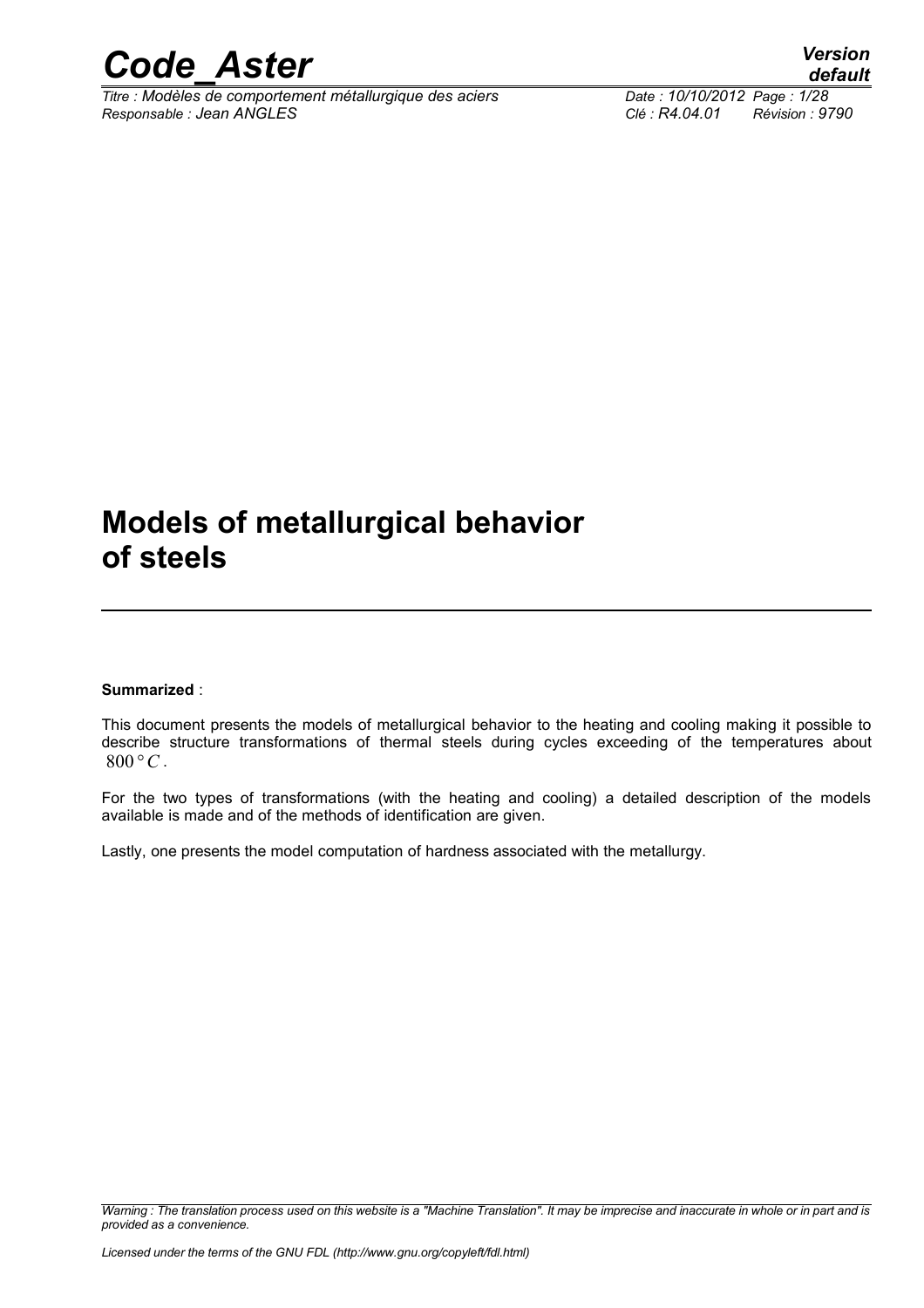

*Titre : Modèles de comportement métallurgique des aciers Date : 10/10/2012 Page : 1/28 Responsable : Jean ANGLES Clé : R4.04.01 Révision : 9790*

*default*

### **Models of metallurgical behavior of steels**

#### **Summarized** :

This document presents the models of metallurgical behavior to the heating and cooling making it possible to describe structure transformations of thermal steels during cycles exceeding of the temperatures about  $800°C$ .

For the two types of transformations (with the heating and cooling) a detailed description of the models available is made and of the methods of identification are given.

Lastly, one presents the model computation of hardness associated with the metallurgy.

*Warning : The translation process used on this website is a "Machine Translation". It may be imprecise and inaccurate in whole or in part and is provided as a convenience.*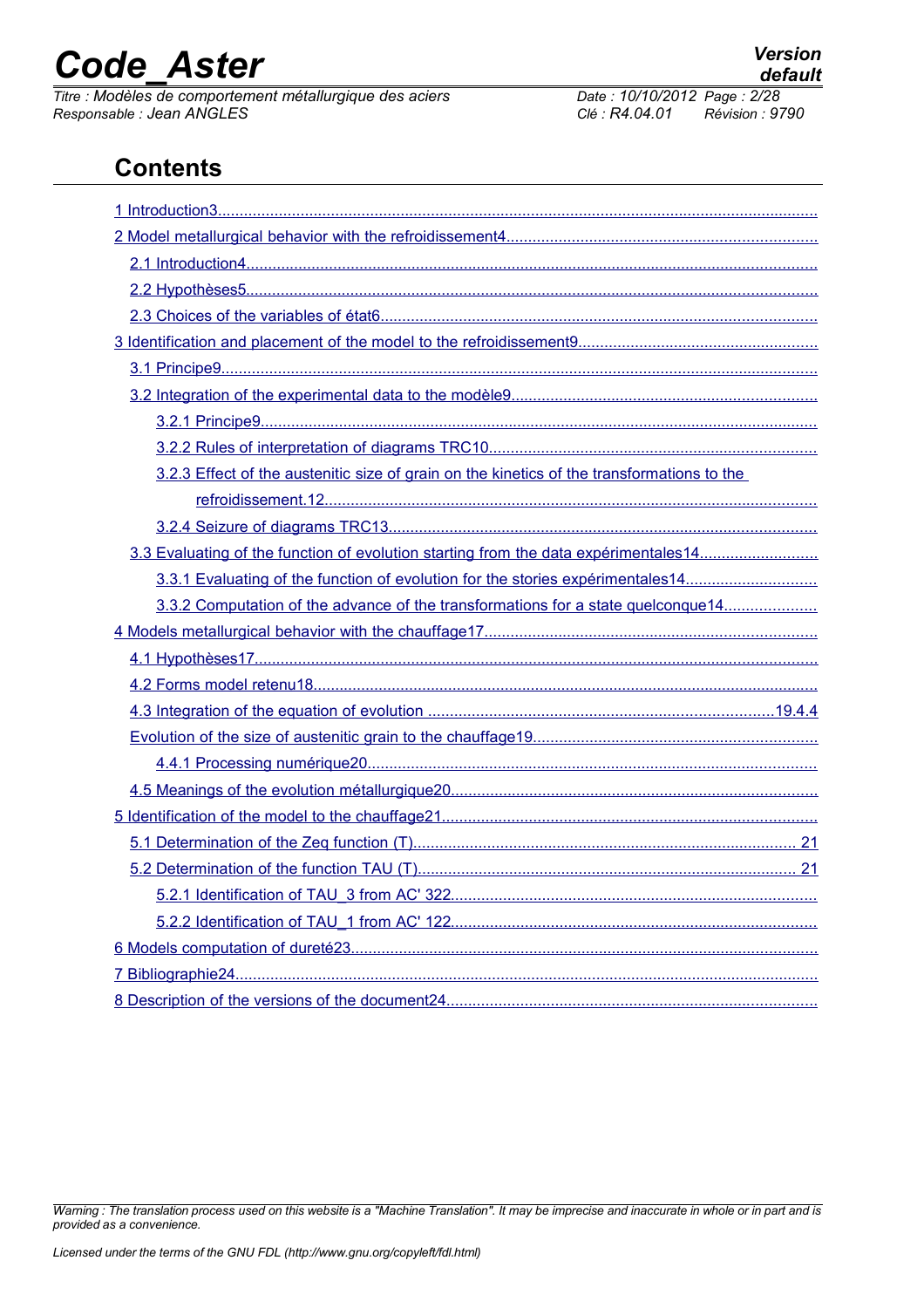*Titre : Modèles de comportement métallurgique des aciers Date : 10/10/2012 Page : 2/28 Responsable : Jean ANGLES Clé : R4.04.01 Révision : 9790*

### **Contents**

| 3.2.3 Effect of the austenitic size of grain on the kinetics of the transformations to the |
|--------------------------------------------------------------------------------------------|
|                                                                                            |
|                                                                                            |
| 3.3 Evaluating of the function of evolution starting from the data expérimentales14        |
| 3.3.1 Evaluating of the function of evolution for the stories expérimentales14             |
| 3.3.2 Computation of the advance of the transformations for a state quelconque14           |
|                                                                                            |
|                                                                                            |
|                                                                                            |
|                                                                                            |
|                                                                                            |
|                                                                                            |
|                                                                                            |
|                                                                                            |
|                                                                                            |
|                                                                                            |
|                                                                                            |
|                                                                                            |
|                                                                                            |
|                                                                                            |
|                                                                                            |

*Warning : The translation process used on this website is a "Machine Translation". It may be imprecise and inaccurate in whole or in part and is provided as a convenience.*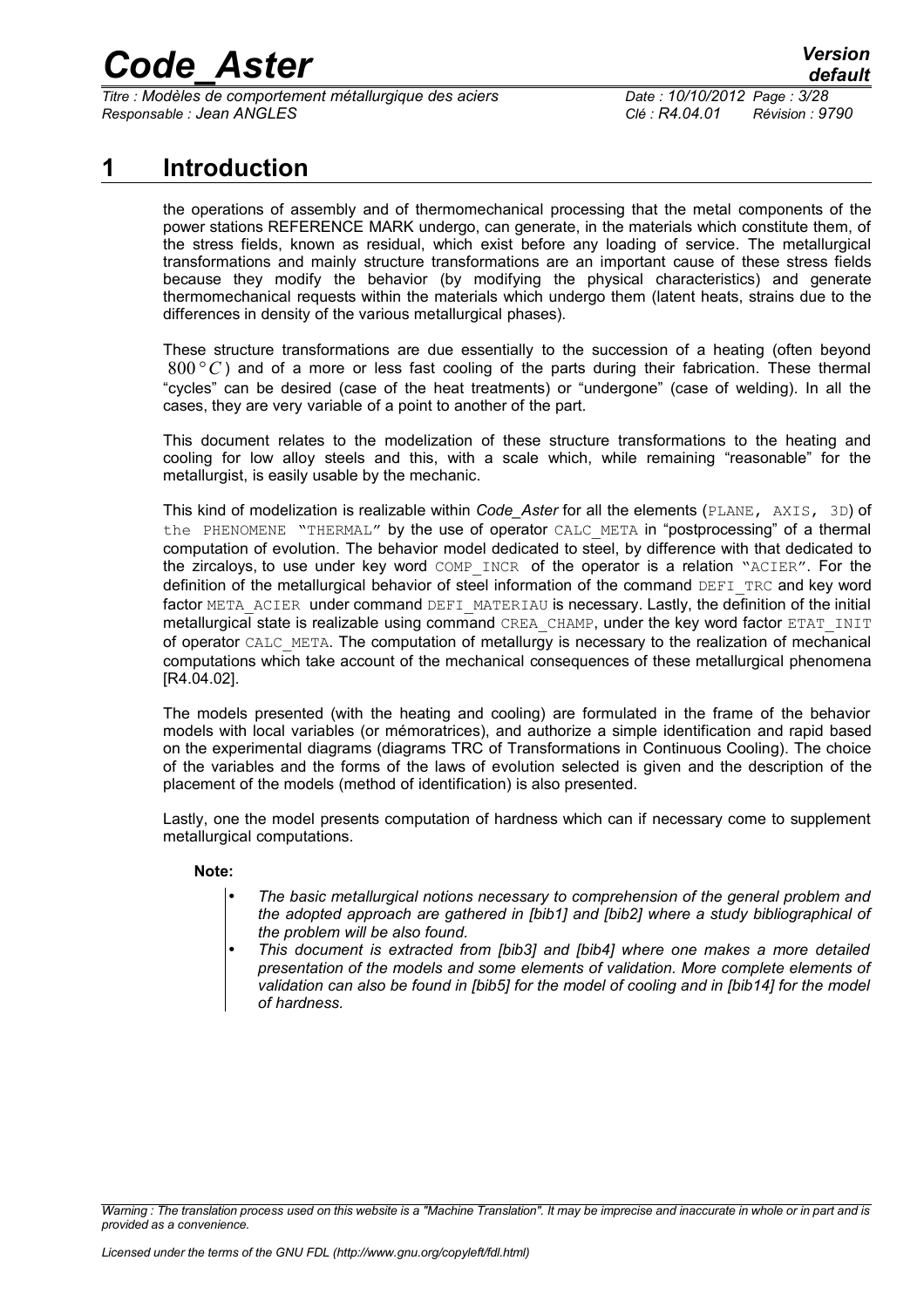*Titre : Modèles de comportement métallurgique des aciers Date : 10/10/2012 Page : 3/28 Responsable : Jean ANGLES Clé : R4.04.01 Révision : 9790*

### **1 Introduction**

<span id="page-2-0"></span>the operations of assembly and of thermomechanical processing that the metal components of the power stations REFERENCE MARK undergo, can generate, in the materials which constitute them, of the stress fields, known as residual, which exist before any loading of service. The metallurgical transformations and mainly structure transformations are an important cause of these stress fields because they modify the behavior (by modifying the physical characteristics) and generate thermomechanical requests within the materials which undergo them (latent heats, strains due to the differences in density of the various metallurgical phases).

These structure transformations are due essentially to the succession of a heating (often beyond 800 *°C* ) and of a more or less fast cooling of the parts during their fabrication. These thermal "cycles" can be desired (case of the heat treatments) or "undergone" (case of welding). In all the cases, they are very variable of a point to another of the part.

This document relates to the modelization of these structure transformations to the heating and cooling for low alloy steels and this, with a scale which, while remaining "reasonable" for the metallurgist, is easily usable by the mechanic.

This kind of modelization is realizable within *Code\_Aster* for all the elements (PLANE, AXIS, 3D) of the PHENOMENE "THERMAL" by the use of operator CALC META in "postprocessing" of a thermal computation of evolution. The behavior model dedicated to steel, by difference with that dedicated to the zircaloys, to use under key word COMP\_INCR of the operator is a relation "ACIER". For the definition of the metallurgical behavior of steel information of the command DEFI\_TRC and key word factor META\_ACIER under command DEFI\_MATERIAU is necessary. Lastly, the definition of the initial metallurgical state is realizable using command CREA\_CHAMP, under the key word factor ETAT\_INIT of operator CALC\_META. The computation of metallurgy is necessary to the realization of mechanical computations which take account of the mechanical consequences of these metallurgical phenomena [R4.04.02].

The models presented (with the heating and cooling) are formulated in the frame of the behavior models with local variables (or mémoratrices), and authorize a simple identification and rapid based on the experimental diagrams (diagrams TRC of Transformations in Continuous Cooling). The choice of the variables and the forms of the laws of evolution selected is given and the description of the placement of the models (method of identification) is also presented.

Lastly, one the model presents computation of hardness which can if necessary come to supplement metallurgical computations.

### **Note:**

- *The basic metallurgical notions necessary to comprehension of the general problem and the adopted approach are gathered in [bib1] and [bib2] where a study bibliographical of the problem will be also found.*
- *This document is extracted from [bib3] and [bib4] where one makes a more detailed presentation of the models and some elements of validation. More complete elements of validation can also be found in [bib5] for the model of cooling and in [bib14] for the model of hardness.*

*Warning : The translation process used on this website is a "Machine Translation". It may be imprecise and inaccurate in whole or in part and is provided as a convenience.*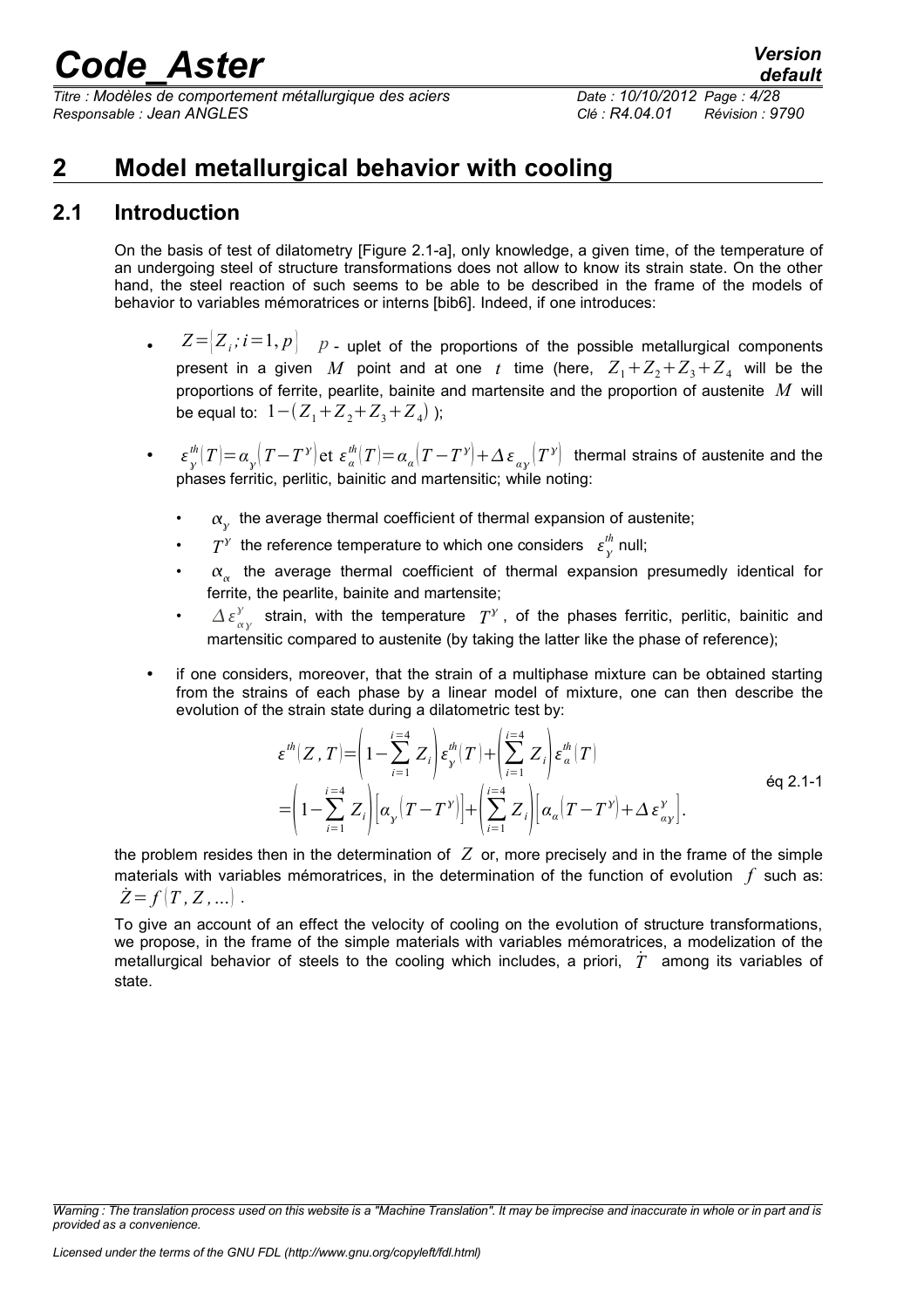*Titre : Modèles de comportement métallurgique des aciers Date : 10/10/2012 Page : 4/28 Responsable : Jean ANGLES Clé : R4.04.01 Révision : 9790*

### <span id="page-3-1"></span>**2 Model metallurgical behavior with cooling**

### **2.1 Introduction**

<span id="page-3-0"></span>On the basis of test of dilatometry [Figure 2.1-a], only knowledge, a given time, of the temperature of an undergoing steel of structure transformations does not allow to know its strain state. On the other hand, the steel reaction of such seems to be able to be described in the frame of the models of behavior to variables mémoratrices or interns [bib6]. Indeed, if one introduces:

- $Z = \langle Z_i : i = 1, p \rangle$  *p* uplet of the proportions of the possible metallurgical components present in a given  $M$  point and at one  $t$  time (here,  $Z_1+Z_2+Z_3+Z_4$  will be the proportions of ferrite, pearlite, bainite and martensite and the proportion of austenite *M* will be equal to:  $1-(Z_1+Z_2+Z_3+Z_4)$  );
- $\epsilon_*^{th}(T) = \alpha_\chi (T-T^\gamma)$ et  $\varepsilon_\alpha^{th}(T) = \alpha_\alpha (T-T^\gamma) + \Delta \, \varepsilon_{\alpha\gamma}(T^\gamma)$  thermal strains of austenite and the phases ferritic, perlitic, bainitic and martensitic; while noting:
	- $\cdot$   $\alpha_{y}$  the average thermal coefficient of thermal expansion of austenite;
	- $T^{\gamma}$  the reference temperature to which one considers  $\epsilon_{\gamma}^{th}$  null;
	- $\alpha_{\alpha}$  the average thermal coefficient of thermal expansion presumedly identical for ferrite, the pearlite, bainite and martensite;
	- $\Delta \varepsilon_{\alpha\gamma}^{\gamma}$  strain, with the temperature  $T^{\gamma}$ , of the phases ferritic, perlitic, bainitic and martensitic compared to austenite (by taking the latter like the phase of reference);
- if one considers, moreover, that the strain of a multiphase mixture can be obtained starting from the strains of each phase by a linear model of mixture, one can then describe the evolution of the strain state during a dilatometric test by:

$$
\varepsilon^{th}(Z,T) = \left(1 - \sum_{i=1}^{i=4} Z_i\right) \varepsilon_y^{th}(T) + \left(\sum_{i=1}^{i=4} Z_i\right) \varepsilon_a^{th}(T)
$$
\n
$$
= \left(1 - \sum_{i=1}^{i=4} Z_i\right) \left[\alpha_y \left(T - T^y\right)\right] + \left(\sum_{i=1}^{i=4} Z_i\right) \left[\alpha_a \left(T - T^y\right) + \Delta \varepsilon_{ay}^y\right].
$$
\n
$$
\text{Eq 2.1-1}
$$

the problem resides then in the determination of *Z* or, more precisely and in the frame of the simple materials with variables mémoratrices, in the determination of the function of evolution *f* such as:  $Z = f(T, Z, ...).$ 

To give an account of an effect the velocity of cooling on the evolution of structure transformations, we propose, in the frame of the simple materials with variables mémoratrices, a modelization of the metallurgical behavior of steels to the cooling which includes, a priori, *T*˙ among its variables of state.

*Warning : The translation process used on this website is a "Machine Translation". It may be imprecise and inaccurate in whole or in part and is provided as a convenience.*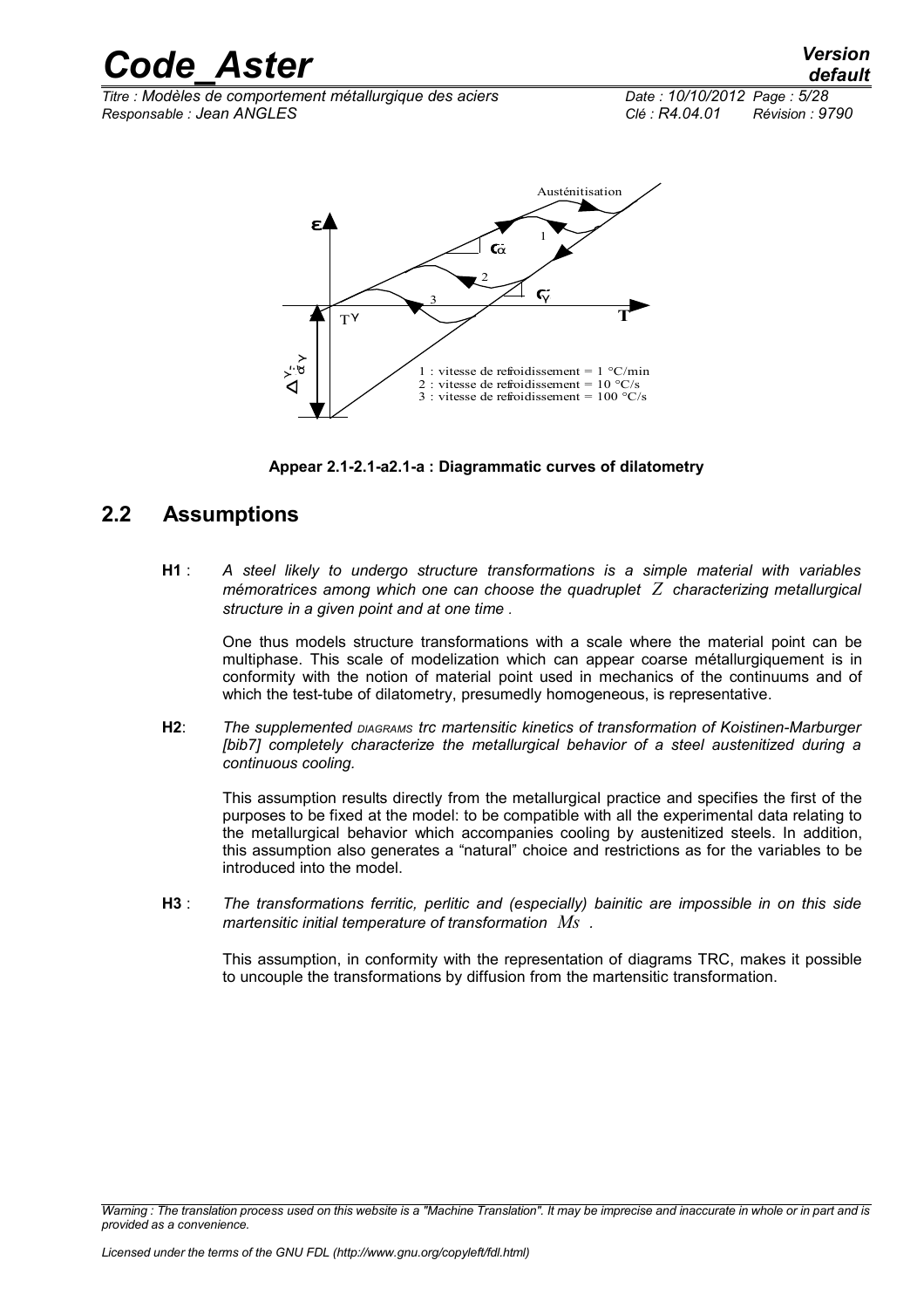*Titre : Modèles de comportement métallurgique des aciers Date : 10/10/2012 Page : 5/28 Responsable : Jean ANGLES Clé : R4.04.01 Révision : 9790*



**Appear 2.1-2.1-a2.1-a : Diagrammatic curves of dilatometry**

### **2.2 Assumptions**

<span id="page-4-0"></span>**H1** : *A steel likely to undergo structure transformations is a simple material with variables mémoratrices among which one can choose the quadruplet Z characterizing metallurgical structure in a given point and at one time .*

One thus models structure transformations with a scale where the material point can be multiphase. This scale of modelization which can appear coarse métallurgiquement is in conformity with the notion of material point used in mechanics of the continuums and of which the test-tube of dilatometry, presumedly homogeneous, is representative.

**H2**: *The supplemented DIAGRAMS trc martensitic kinetics of transformation of Koistinen-Marburger [bib7] completely characterize the metallurgical behavior of a steel austenitized during a continuous cooling.*

This assumption results directly from the metallurgical practice and specifies the first of the purposes to be fixed at the model: to be compatible with all the experimental data relating to the metallurgical behavior which accompanies cooling by austenitized steels. In addition, this assumption also generates a "natural" choice and restrictions as for the variables to be introduced into the model.

**H3** : *The transformations ferritic, perlitic and (especially) bainitic are impossible in on this side martensitic initial temperature of transformation Ms .*

This assumption, in conformity with the representation of diagrams TRC, makes it possible to uncouple the transformations by diffusion from the martensitic transformation.

*Warning : The translation process used on this website is a "Machine Translation". It may be imprecise and inaccurate in whole or in part and is provided as a convenience.*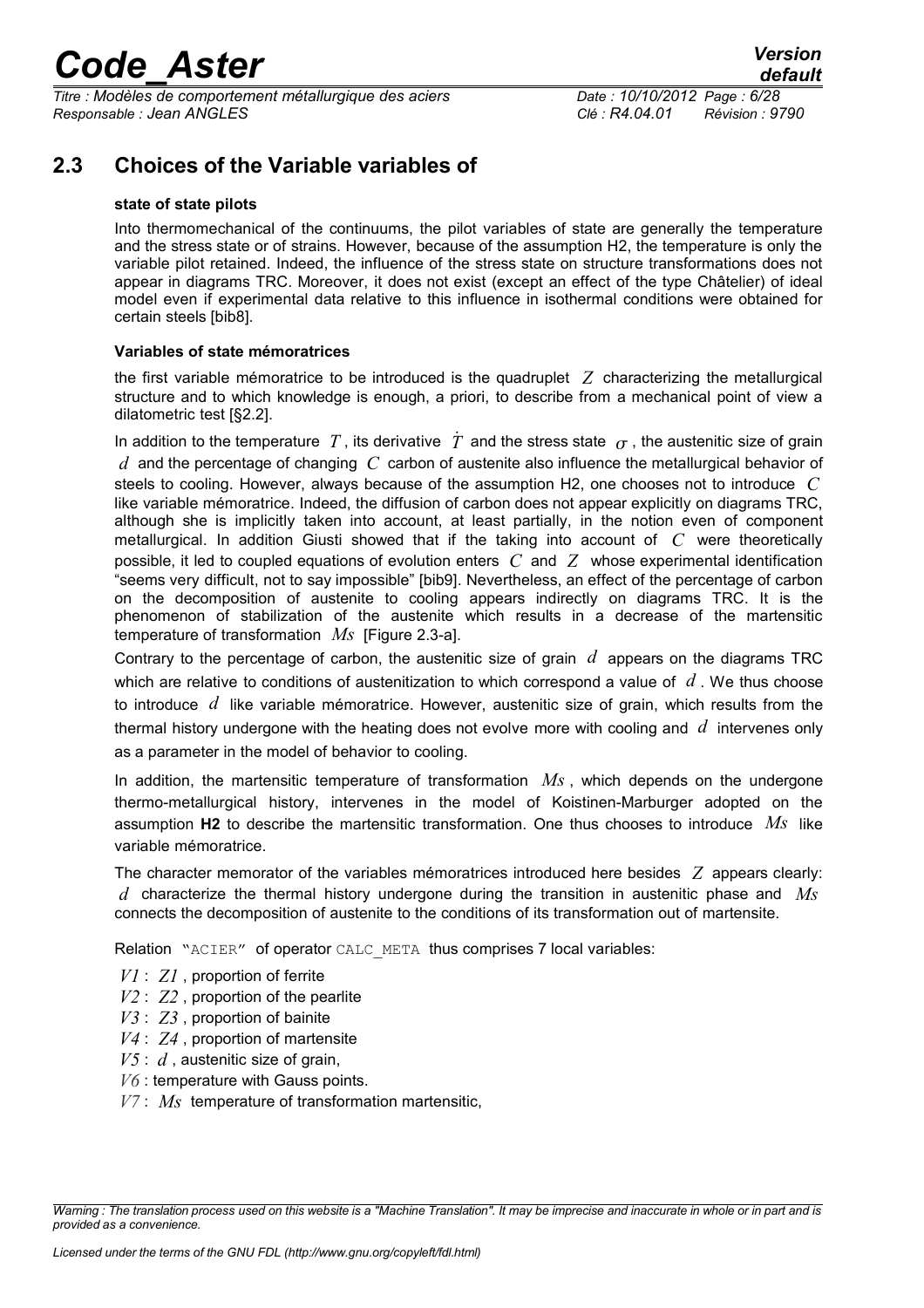*Titre : Modèles de comportement métallurgique des aciers Date : 10/10/2012 Page : 6/28 Responsable : Jean ANGLES Clé : R4.04.01 Révision : 9790*

### **2.3 Choices of the Variable variables of**

### <span id="page-5-0"></span>**state of state pilots**

Into thermomechanical of the continuums, the pilot variables of state are generally the temperature and the stress state or of strains. However, because of the assumption H2, the temperature is only the variable pilot retained. Indeed, the influence of the stress state on structure transformations does not appear in diagrams TRC. Moreover, it does not exist (except an effect of the type Châtelier) of ideal model even if experimental data relative to this influence in isothermal conditions were obtained for certain steels [bib8].

### **Variables of state mémoratrices**

the first variable mémoratrice to be introduced is the quadruplet *Z* characterizing the metallurgical structure and to which knowledge is enough, a priori, to describe from a mechanical point of view a dilatometric test [§2.2].

In addition to the temperature T, its derivative  $\dot{T}$  and the stress state  $\sigma$ , the austenitic size of grain *d* and the percentage of changing *C* carbon of austenite also influence the metallurgical behavior of steels to cooling. However, always because of the assumption H2, one chooses not to introduce *C* like variable mémoratrice. Indeed, the diffusion of carbon does not appear explicitly on diagrams TRC, although she is implicitly taken into account, at least partially, in the notion even of component metallurgical. In addition Giusti showed that if the taking into account of *C* were theoretically possible, it led to coupled equations of evolution enters *C* and *Z* whose experimental identification "seems very difficult, not to say impossible" [bib9]. Nevertheless, an effect of the percentage of carbon on the decomposition of austenite to cooling appears indirectly on diagrams TRC. It is the phenomenon of stabilization of the austenite which results in a decrease of the martensitic temperature of transformation *Ms* [Figure 2.3-a].

Contrary to the percentage of carbon, the austenitic size of grain *d* appears on the diagrams TRC which are relative to conditions of austenitization to which correspond a value of *d* . We thus choose to introduce *d* like variable mémoratrice. However, austenitic size of grain, which results from the thermal history undergone with the heating does not evolve more with cooling and *d* intervenes only as a parameter in the model of behavior to cooling.

In addition, the martensitic temperature of transformation *Ms* , which depends on the undergone thermo-metallurgical history, intervenes in the model of Koistinen-Marburger adopted on the assumption **H2** to describe the martensitic transformation. One thus chooses to introduce *Ms* like variable mémoratrice.

The character memorator of the variables mémoratrices introduced here besides *Z* appears clearly: *d* characterize the thermal history undergone during the transition in austenitic phase and *Ms* connects the decomposition of austenite to the conditions of its transformation out of martensite.

Relation "ACIER" of operator CALC\_META thus comprises 7 local variables:

*V1* : *Z1* , proportion of ferrite

- *V2* : *Z2* , proportion of the pearlite
- *V3* : *Z3* , proportion of bainite
- *V4* : *Z4* , proportion of martensite
- *V5* : *d* , austenitic size of grain,
- *V6* : temperature with Gauss points.
- *V7* : *Ms* temperature of transformation martensitic,

*Warning : The translation process used on this website is a "Machine Translation". It may be imprecise and inaccurate in whole or in part and is provided as a convenience.*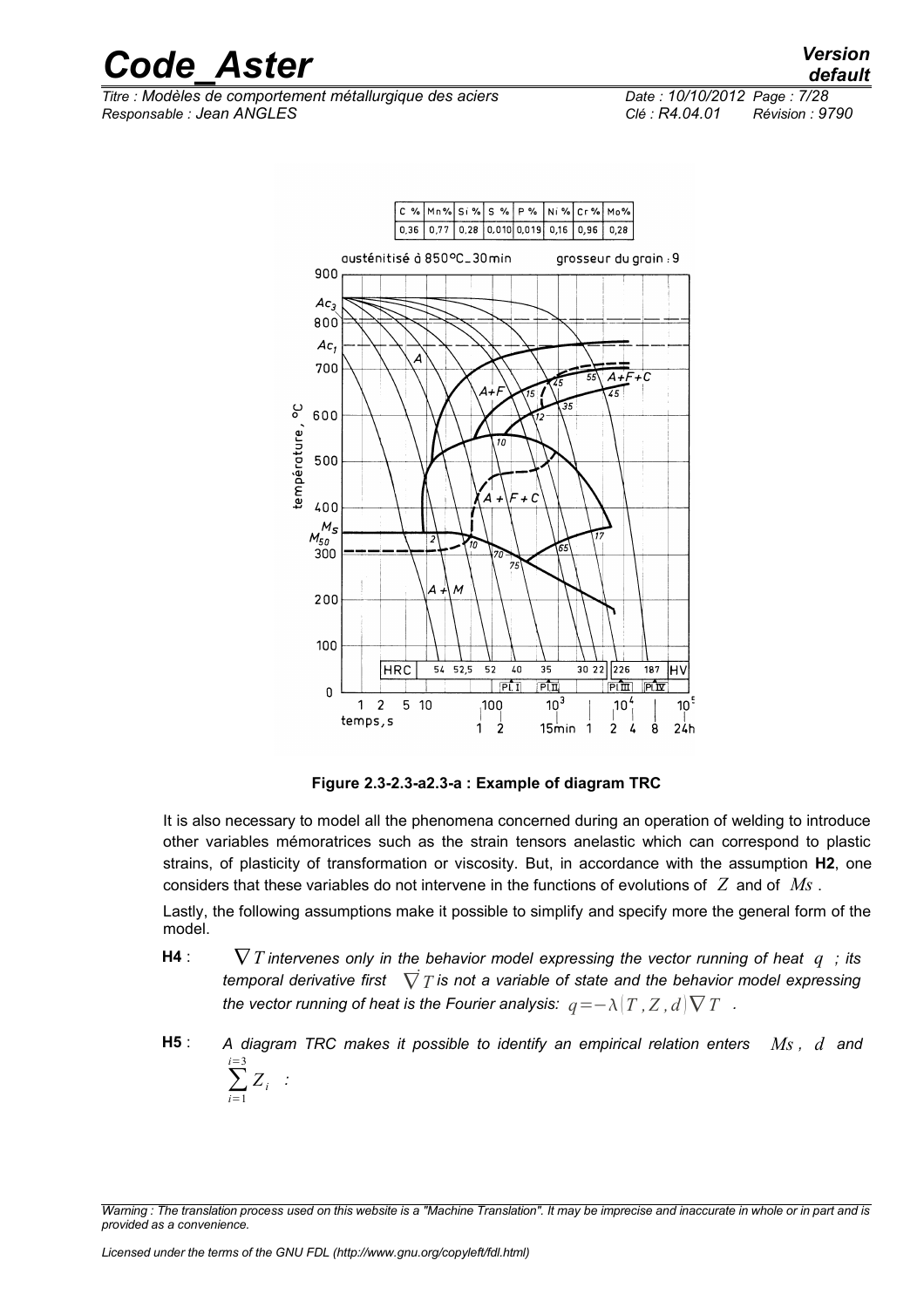*Titre : Modèles de comportement métallurgique des aciers Date : 10/10/2012 Page : 7/28 Responsable : Jean ANGLES Clé : R4.04.01 Révision : 9790*



**Figure 2.3-2.3-a2.3-a : Example of diagram TRC**

It is also necessary to model all the phenomena concerned during an operation of welding to introduce other variables mémoratrices such as the strain tensors anelastic which can correspond to plastic strains, of plasticity of transformation or viscosity. But, in accordance with the assumption **H2**, one considers that these variables do not intervene in the functions of evolutions of *Z* and of *Ms* .

Lastly, the following assumptions make it possible to simplify and specify more the general form of the model.

- **H4** :  $\nabla T$  intervenes only in the behavior model expressing the vector running of heat  $q$ ; its *temporal derivative first* ∇˙*T is not a variable of state and the behavior model expressing the vector running of heat is the Fourier analysis:*  $q = −\lambda |T, Z, d$  $\nabla T$ *.*
- **H5** : *A diagram TRC makes it possible to identify an empirical relation enters Ms , d and* ∑ *i*=1 *i*=3 *Zi :*

*Warning : The translation process used on this website is a "Machine Translation". It may be imprecise and inaccurate in whole or in part and is provided as a convenience.*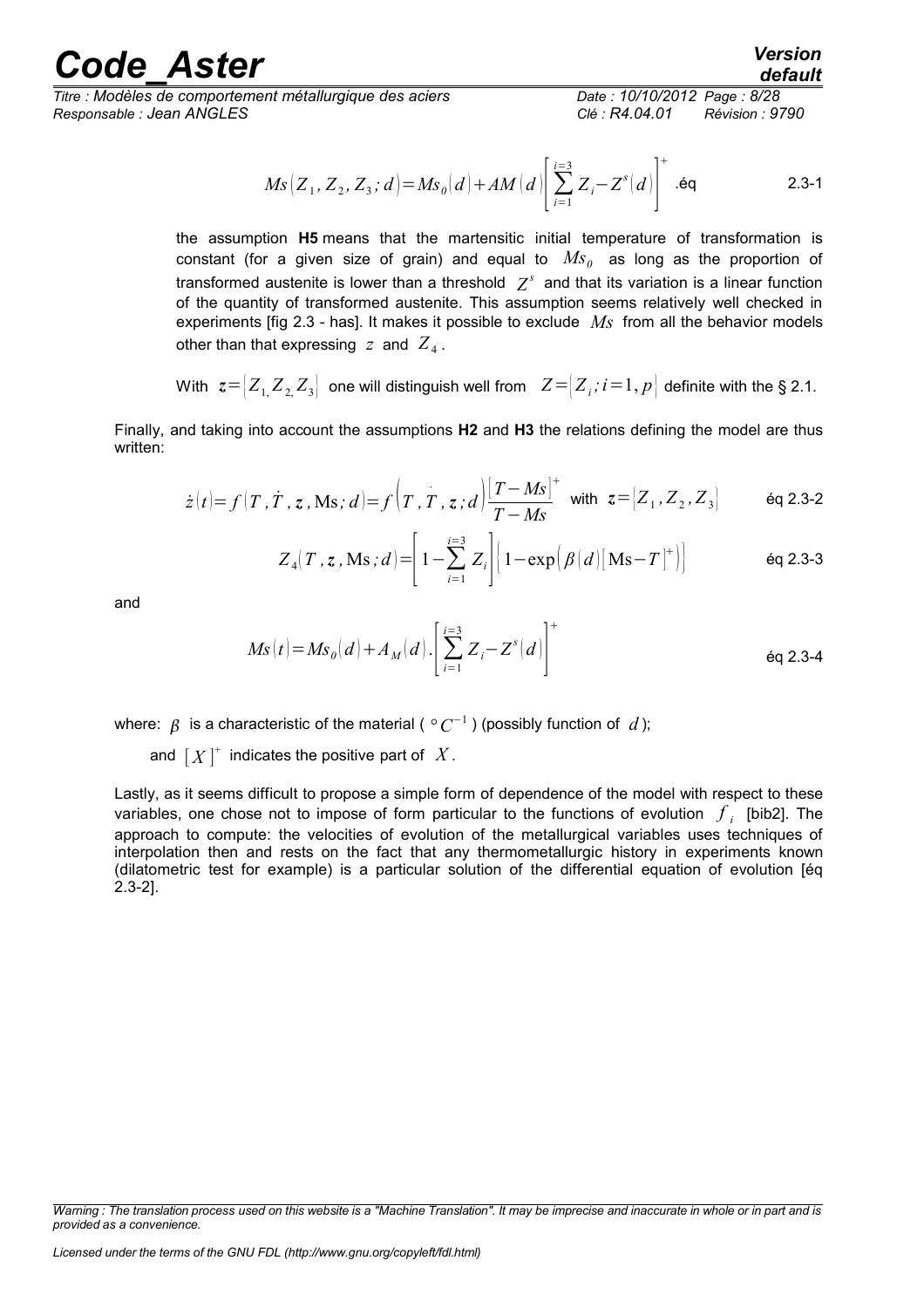*Titre : Modèles de comportement métallurgique des aciers Date : 10/10/2012 Page : 8/28 Responsable : Jean ANGLES Clé : R4.04.01 Révision : 9790*

$$
Ms \left[ Z_1, Z_2, Z_3; d \right] = M s_0(d) + AM(d) \left[ \sum_{i=1}^{i=3} Z_i - Z^s(d) \right]^+ . \text{\'eq} \tag{2.3-1}
$$

the assumption **H5** means that the martensitic initial temperature of transformation is constant (for a given size of grain) and equal to  $\overline{Ms}_\theta$  as long as the proportion of transformed austenite is lower than a threshold  $|Z^s|$  and that its variation is a linear function of the quantity of transformed austenite. This assumption seems relatively well checked in experiments [fig 2.3 - has]. It makes it possible to exclude *Ms* from all the behavior models other than that expressing  $|z|$  and  $|Z_4|$ .

With 
$$
z = [Z_1, Z_2, Z_3]
$$
 one will distinguish well from  $Z = [Z_i; i = 1, p]$  definite with the § 2.1.

Finally, and taking into account the assumptions **H2** and **H3** the relations defining the model are thus written:

$$
\dot{z}(t) = f(T, \dot{T}, z, \text{Ms}; d) = f(T, \dot{T}, z; d) \frac{|T - Ms|}{T - Ms} \text{ with } z = [Z_1, Z_2, Z_3] \quad \text{Eq 2.3-2}
$$

$$
Z_4(T, z, \mathbf{M}s; d) = \left[1 - \sum_{i=1}^{i=3} Z_i\right] \left[1 - \exp\left(\beta \left(d\right) [\mathbf{M}s - T]^+\right)\right]
$$
 eq 2.3-3

and

$$
Ms(t) = Ms_0(d) + A_M(d) \cdot \left[ \sum_{i=1}^{i=3} Z_i - Z^s(d) \right]^+
$$
eq 2.3-4

where:  $\,\beta\,$  is a characteristic of the material (  $^\circ\,C^{-1}$  ) (possibly function of  $\,d$  );

and  $[X]^+$  indicates the positive part of  $X$ .

Lastly, as it seems difficult to propose a simple form of dependence of the model with respect to these variables, one chose not to impose of form particular to the functions of evolution  $\left|f_i\right|$  [bib2]. The approach to compute: the velocities of evolution of the metallurgical variables uses techniques of interpolation then and rests on the fact that any thermometallurgic history in experiments known (dilatometric test for example) is a particular solution of the differential equation of evolution [éq 2.3-2].

*Warning : The translation process used on this website is a "Machine Translation". It may be imprecise and inaccurate in whole or in part and is provided as a convenience.*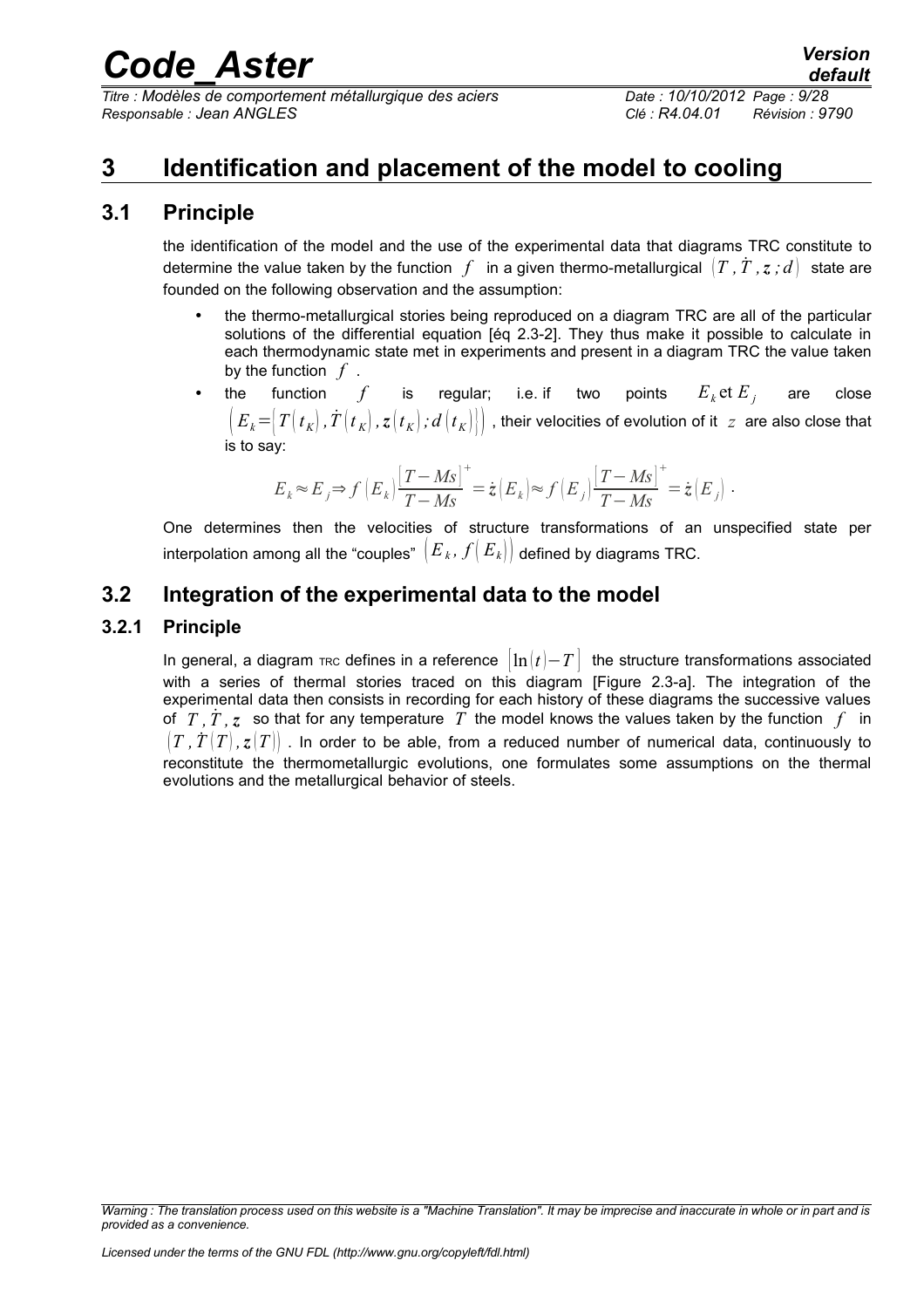*Titre : Modèles de comportement métallurgique des aciers Date : 10/10/2012 Page : 9/28 Responsable : Jean ANGLES Clé : R4.04.01 Révision : 9790*

### <span id="page-8-3"></span>**3 Identification and placement of the model to cooling**

### **3.1 Principle**

<span id="page-8-2"></span>the identification of the model and the use of the experimental data that diagrams TRC constitute to determine the value taken by the function  $f$  in a given thermo-metallurgical  $(T, T, z, d)$  state are founded on the following observation and the assumption:

- the thermo-metallurgical stories being reproduced on a diagram TRC are all of the particular solutions of the differential equation [éq 2.3-2]. They thus make it possible to calculate in each thermodynamic state met in experiments and present in a diagram TRC the value taken by the function *f* .
- the function  $f$  is regular; i.e. if two points  $E_k$  et  $E_j$  are close  $(E_k = |T(t_k), T(t_k), z(t_k), z(t_k)$ ,  $d(t_k)$  ,  $d(t_k)$  , their velocities of evolution of it *z* are also close that is to say:

$$
E_{\textit{k}}\!\approx\!E_{\textit{j}}\!\Rightarrow\!f\left(E_{\textit{k}}\right)\!\frac{\left[T-M\!S\right]^+}{T-M\!S}\!=\dot{\textit{z}}\left(E_{\textit{k}}\right)\!\approx\!f\left(E_{\textit{j}}\right)\!\frac{\left[T-M\!S\right]^+}{T-M\!S}\!=\dot{\textit{z}}\left(E_{\textit{j}}\right)\,.
$$

One determines then the velocities of structure transformations of an unspecified state per interpolation among all the "couples"  $\left |E_{\textit{k}}$  ,  $f\big |E_{\textit{k}}\big |\right |$  defined by diagrams TRC.

### <span id="page-8-1"></span>**3.2 Integration of the experimental data to the model**

### **3.2.1 Principle**

<span id="page-8-0"></span>In general, a diagram TRC defines in a reference  $\left| \ln(t) - T \right|$  the structure transformations associated with a series of thermal stories traced on this diagram [Figure 2.3-a]. The integration of the experimental data then consists in recording for each history of these diagrams the successive values of  $T, T, z$  so that for any temperature  $T$  the model knows the values taken by the function  $f$  in  $(T, T(T), z(T))$ . In order to be able, from a reduced number of numerical data, continuously to reconstitute the thermometallurgic evolutions, one formulates some assumptions on the thermal evolutions and the metallurgical behavior of steels.

*Warning : The translation process used on this website is a "Machine Translation". It may be imprecise and inaccurate in whole or in part and is provided as a convenience.*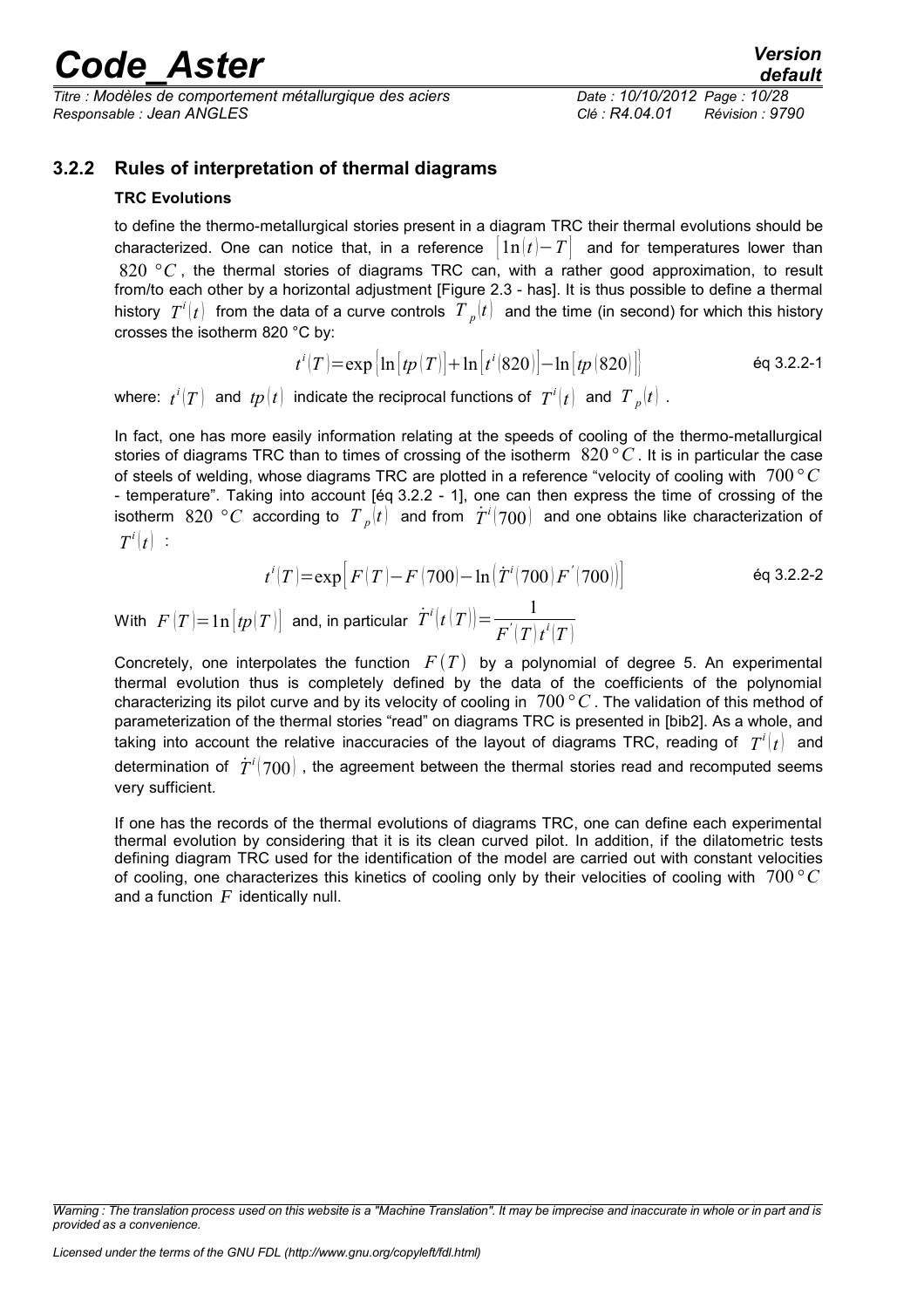*Titre : Modèles de comportement métallurgique des aciers Date : 10/10/2012 Page : 10/28 Responsable : Jean ANGLES Clé : R4.04.01 Révision : 9790*

### **3.2.2 Rules of interpretation of thermal diagrams**

### <span id="page-9-0"></span>**TRC Evolutions**

to define the thermo-metallurgical stories present in a diagram TRC their thermal evolutions should be characterized. One can notice that, in a reference  $| 1n(t) - T |$  and for temperatures lower than 820 °C, the thermal stories of diagrams TRC can, with a rather good approximation, to result from/to each other by a horizontal adjustment [Figure 2.3 - has]. It is thus possible to define a thermal history  $|T^i(t)|$  from the data of a curve controls  $|T_{\;_p}(t)|$  and the time (in second) for which this history crosses the isotherm 820 °C by:

$$
t^{i}(T) = \exp\left[\ln\left[tp(T)\right] + \ln\left[t^{i}(820)\right] - \ln\left[tp(820)\right]\right]
$$
 eq 3.2.2-1

where:  $t^i(T)$  and  $tp(t)$  indicate the reciprocal functions of  $\,T^i(t)\,$  and  $\,T^{\,\,}_{\,\,p}(t)\,$  .

In fact, one has more easily information relating at the speeds of cooling of the thermo-metallurgical stories of diagrams TRC than to times of crossing of the isotherm 820*° C* . It is in particular the case of steels of welding, whose diagrams TRC are plotted in a reference "velocity of cooling with 700*°C* - temperature". Taking into account [éq 3.2.2 - 1], one can then express the time of crossing of the isotherm  $~820\,$   $^{\circ}C\,$  according to  $~T$   $_{p} (t)\,$  and from  $~\dot{T}^{i} (700)\,$  and one obtains like characterization of  $T^i(t)$  :

$$
t^{i}(T) = \exp[F(T) - F(700) - \ln(\dot{T}^{i}(700)F'(700))]
$$
éq 3.2.2-2

With  $F\left( T\right) \!=\! \ln \left[ t p(T) \right]$  and, in particular  $\dot{T}^{i}\!\left( t\left( T\right) \right) \!=\! \frac{1}{T^{'}\!\left( T\right)}$  $F^{'}(T)t^{i}(T)$ 

Concretely, one interpolates the function  $F(T)$  by a polynomial of degree 5. An experimental thermal evolution thus is completely defined by the data of the coefficients of the polynomial characterizing its pilot curve and by its velocity of cooling in 700 *°C* . The validation of this method of parameterization of the thermal stories "read" on diagrams TRC is presented in [bib2]. As a whole, and taking into account the relative inaccuracies of the layout of diagrams TRC, reading of  $\;T^i(t)\;$  and determination of  $\left.\dot{T}^i(700)\right.$  , the agreement between the thermal stories read and recomputed seems very sufficient.

If one has the records of the thermal evolutions of diagrams TRC, one can define each experimental thermal evolution by considering that it is its clean curved pilot. In addition, if the dilatometric tests defining diagram TRC used for the identification of the model are carried out with constant velocities of cooling, one characterizes this kinetics of cooling only by their velocities of cooling with 700 *°C* and a function *F* identically null.

*Warning : The translation process used on this website is a "Machine Translation". It may be imprecise and inaccurate in whole or in part and is provided as a convenience.*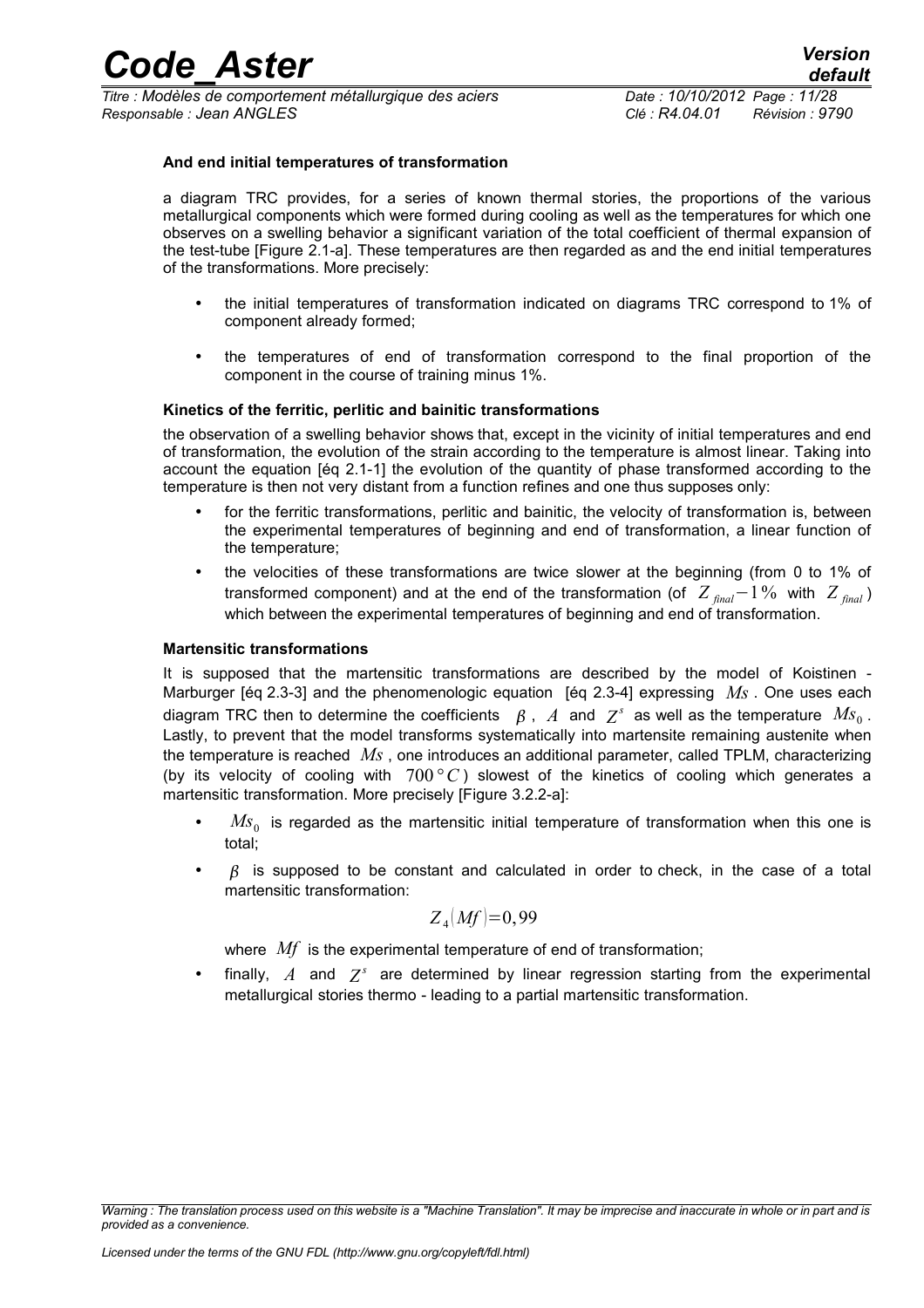### **And end initial temperatures of transformation**

a diagram TRC provides, for a series of known thermal stories, the proportions of the various metallurgical components which were formed during cooling as well as the temperatures for which one observes on a swelling behavior a significant variation of the total coefficient of thermal expansion of the test-tube [Figure 2.1-a]. These temperatures are then regarded as and the end initial temperatures of the transformations. More precisely:

- the initial temperatures of transformation indicated on diagrams TRC correspond to 1% of component already formed;
- the temperatures of end of transformation correspond to the final proportion of the component in the course of training minus 1%.

### **Kinetics of the ferritic, perlitic and bainitic transformations**

the observation of a swelling behavior shows that, except in the vicinity of initial temperatures and end of transformation, the evolution of the strain according to the temperature is almost linear. Taking into account the equation [éq 2.1-1] the evolution of the quantity of phase transformed according to the temperature is then not very distant from a function refines and one thus supposes only:

- for the ferritic transformations, perlitic and bainitic, the velocity of transformation is, between the experimental temperatures of beginning and end of transformation, a linear function of the temperature;
- the velocities of these transformations are twice slower at the beginning (from 0 to 1% of transformed component) and at the end of the transformation (of  $Z_{final}$ –1% with  $Z_{final}$ ) which between the experimental temperatures of beginning and end of transformation.

#### **Martensitic transformations**

It is supposed that the martensitic transformations are described by the model of Koistinen - Marburger [éq 2.3-3] and the phenomenologic equation [éq 2.3-4] expressing *Ms* . One uses each diagram TRC then to determine the coefficients  $\;\;\beta$  ,  $\;A\;$  and  $\;Z^s\;$  as well as the temperature  $\;M\!s_0$  . Lastly, to prevent that the model transforms systematically into martensite remaining austenite when the temperature is reached *Ms* , one introduces an additional parameter, called TPLM, characterizing (by its velocity of cooling with 700*°C* ) slowest of the kinetics of cooling which generates a martensitic transformation. More precisely [Figure 3.2.2-a]:

- *Ms*<sub>0</sub> is regarded as the martensitic initial temperature of transformation when this one is total;
- $\beta$  is supposed to be constant and calculated in order to check, in the case of a total martensitic transformation:

$$
Z_4(Mf)=0,99
$$

where *Mf* is the experimental temperature of end of transformation;

• finally,  $A$  and  $Z^s$  are determined by linear regression starting from the experimental metallurgical stories thermo - leading to a partial martensitic transformation.

*Warning : The translation process used on this website is a "Machine Translation". It may be imprecise and inaccurate in whole or in part and is provided as a convenience.*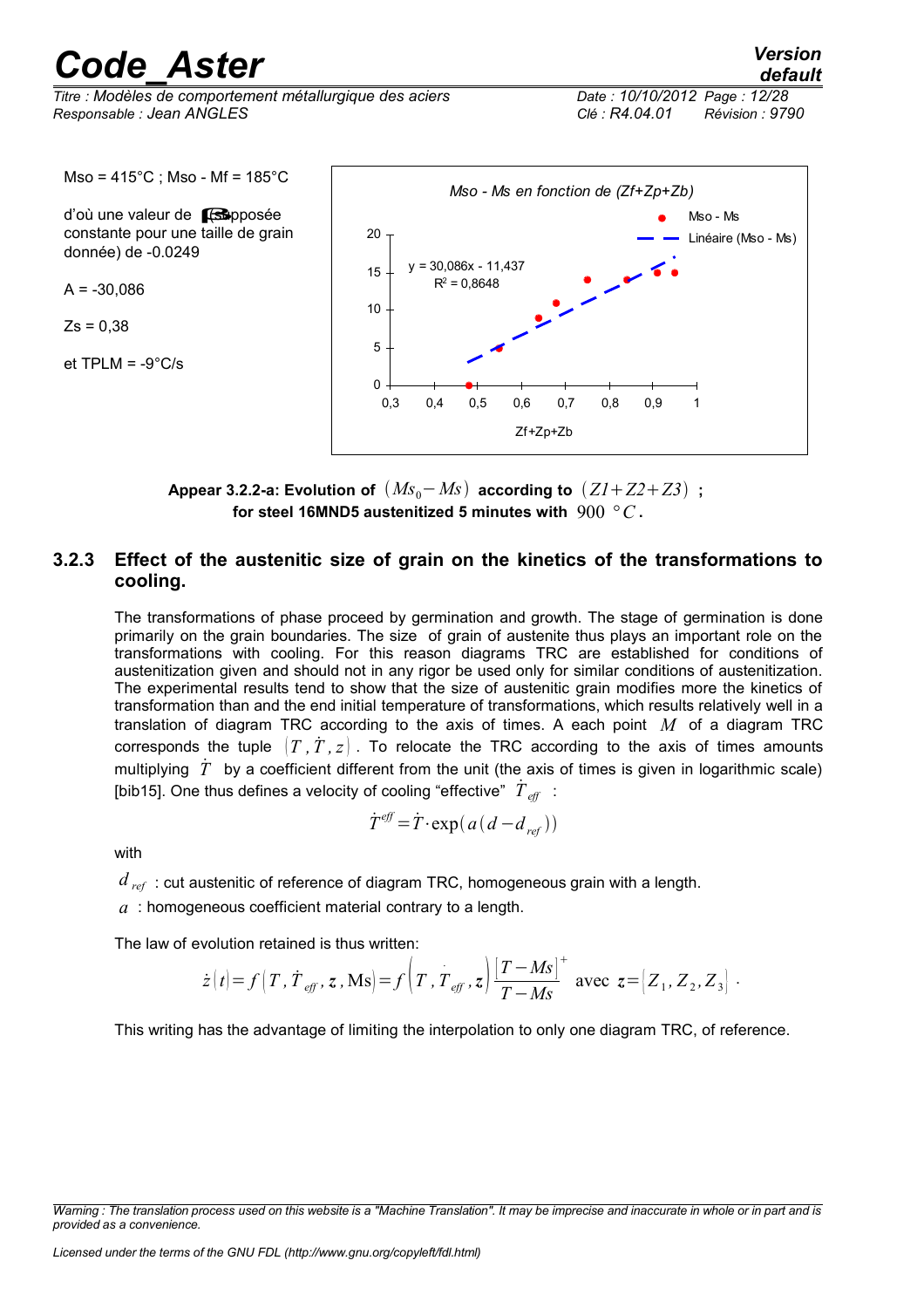*Titre : Modèles de comportement métallurgique des aciers Date : 10/10/2012 Page : 12/28 Responsable : Jean ANGLES Clé : R4.04.01 Révision : 9790*

 $Mso = 415^{\circ}C$ ; Mso - Mf = 185 $^{\circ}C$ 

d'où une valeur de **[fsupposée**] constante pour une taille de grain donnée) de -0.0249

 $A = -30,086$ 

 $Zs = 0,38$ 

et TPLM = -9°C/s



**Appear 3.2.2-a: Evolution of**  $(Ms_0 - Ms)$  according to  $(ZI + Z2 + Z3)$ ; **for steel 16MND5 austenitized 5 minutes with** 900 *°C* **.**

### **3.2.3 Effect of the austenitic size of grain on the kinetics of the transformations to cooling.**

<span id="page-11-0"></span>The transformations of phase proceed by germination and growth. The stage of germination is done primarily on the grain boundaries. The size of grain of austenite thus plays an important role on the transformations with cooling. For this reason diagrams TRC are established for conditions of austenitization given and should not in any rigor be used only for similar conditions of austenitization. The experimental results tend to show that the size of austenitic grain modifies more the kinetics of transformation than and the end initial temperature of transformations, which results relatively well in a translation of diagram TRC according to the axis of times. A each point *M* of a diagram TRC corresponds the tuple  $(T, T, z)$ . To relocate the TRC according to the axis of times amounts multiplying  $\ddot{T}$  by a coefficient different from the unit (the axis of times is given in logarithmic scale) [bib15]. One thus defines a velocity of cooling "effective"  $\stackrel{\circ}{T}_{\mathit{eff}}\,$  :

$$
\dot{T}^{\text{eff}} = \dot{T} \cdot \exp(a(d - d_{\text{ref}}))
$$

with

 $d_{ref}$ : cut austenitic of reference of diagram TRC, homogeneous grain with a length.

*a* : homogeneous coefficient material contrary to a length.

The law of evolution retained is thus written:

$$
\dot{z}(t) = f(T, \dot{T}_{\text{eff}}, z, \text{Ms}) = f(T, T_{\text{eff}}, z) \frac{|T - Ms|}{T - Ms}
$$
 avec  $z = [Z_1, Z_2, Z_3]$ .

This writing has the advantage of limiting the interpolation to only one diagram TRC, of reference.

*Warning : The translation process used on this website is a "Machine Translation". It may be imprecise and inaccurate in whole or in part and is provided as a convenience.*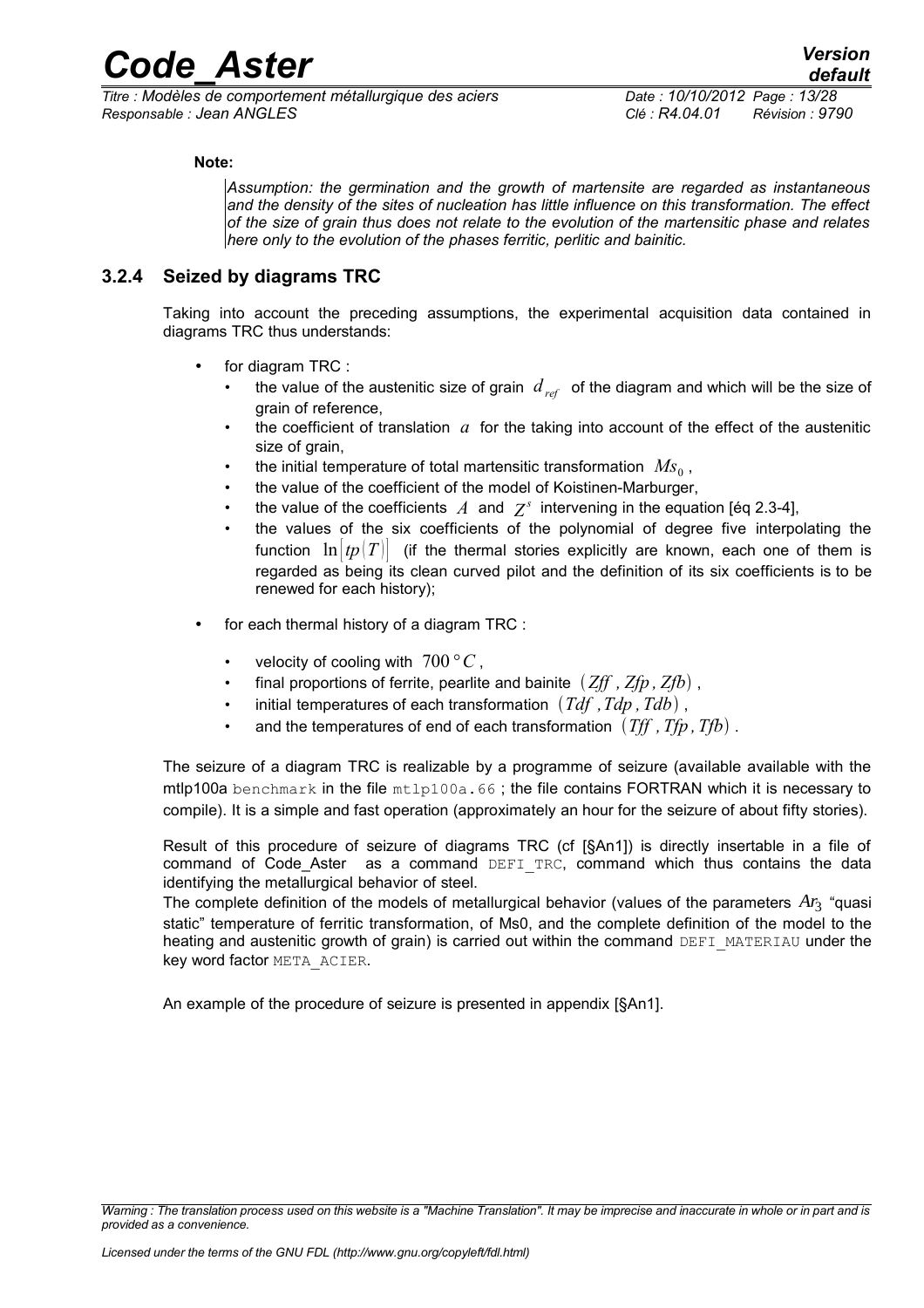### **Note:**

*Assumption: the germination and the growth of martensite are regarded as instantaneous and the density of the sites of nucleation has little influence on this transformation. The effect of the size of grain thus does not relate to the evolution of the martensitic phase and relates here only to the evolution of the phases ferritic, perlitic and bainitic.*

### **3.2.4 Seized by diagrams TRC**

<span id="page-12-0"></span>Taking into account the preceding assumptions, the experimental acquisition data contained in diagrams TRC thus understands:

- for diagram TRC :
	- the value of the austenitic size of grain  $d_{ref}$  of the diagram and which will be the size of grain of reference,
	- the coefficient of translation  $a$  for the taking into account of the effect of the austenitic size of grain,
	- the initial temperature of total martensitic transformation  $\ M_{S_0}$  ,
	- the value of the coefficient of the model of Koistinen-Marburger,
	- the value of the coefficients  $A$  and  $Z^s$  intervening in the equation [éq 2.3-4],
	- the values of the six coefficients of the polynomial of degree five interpolating the function  $\ln |tp|T|$  (if the thermal stories explicitly are known, each one of them is regarded as being its clean curved pilot and the definition of its six coefficients is to be renewed for each history);
- for each thermal history of a diagram TRC :
	- velocity of cooling with  $700\,^{\circ}C$ ,
	- final proportions of ferrite, pearlite and bainite  $(Zff, Zfp, Zfb)$ ,
	- initial temperatures of each transformation *Tdf ,Tdp ,Tdb* ,
	- and the temperatures of end of each transformation  $(Tff, Tfp, Tfb)$ .

The seizure of a diagram TRC is realizable by a programme of seizure (available available with the mtlp100a benchmark in the file mtlp100a.66 ; the file contains FORTRAN which it is necessary to compile). It is a simple and fast operation (approximately an hour for the seizure of about fifty stories).

Result of this procedure of seizure of diagrams TRC (cf [§An1]) is directly insertable in a file of command of Code Aster as a command DEFI TRC, command which thus contains the data identifying the metallurgical behavior of steel.

The complete definition of the models of metallurgical behavior (values of the parameters  $Ar_3$  "quasi static" temperature of ferritic transformation, of Ms0, and the complete definition of the model to the heating and austenitic growth of grain) is carried out within the command DEFI\_MATERIAU under the key word factor META\_ACIER.

An example of the procedure of seizure is presented in appendix [§An1].

*Warning : The translation process used on this website is a "Machine Translation". It may be imprecise and inaccurate in whole or in part and is provided as a convenience.*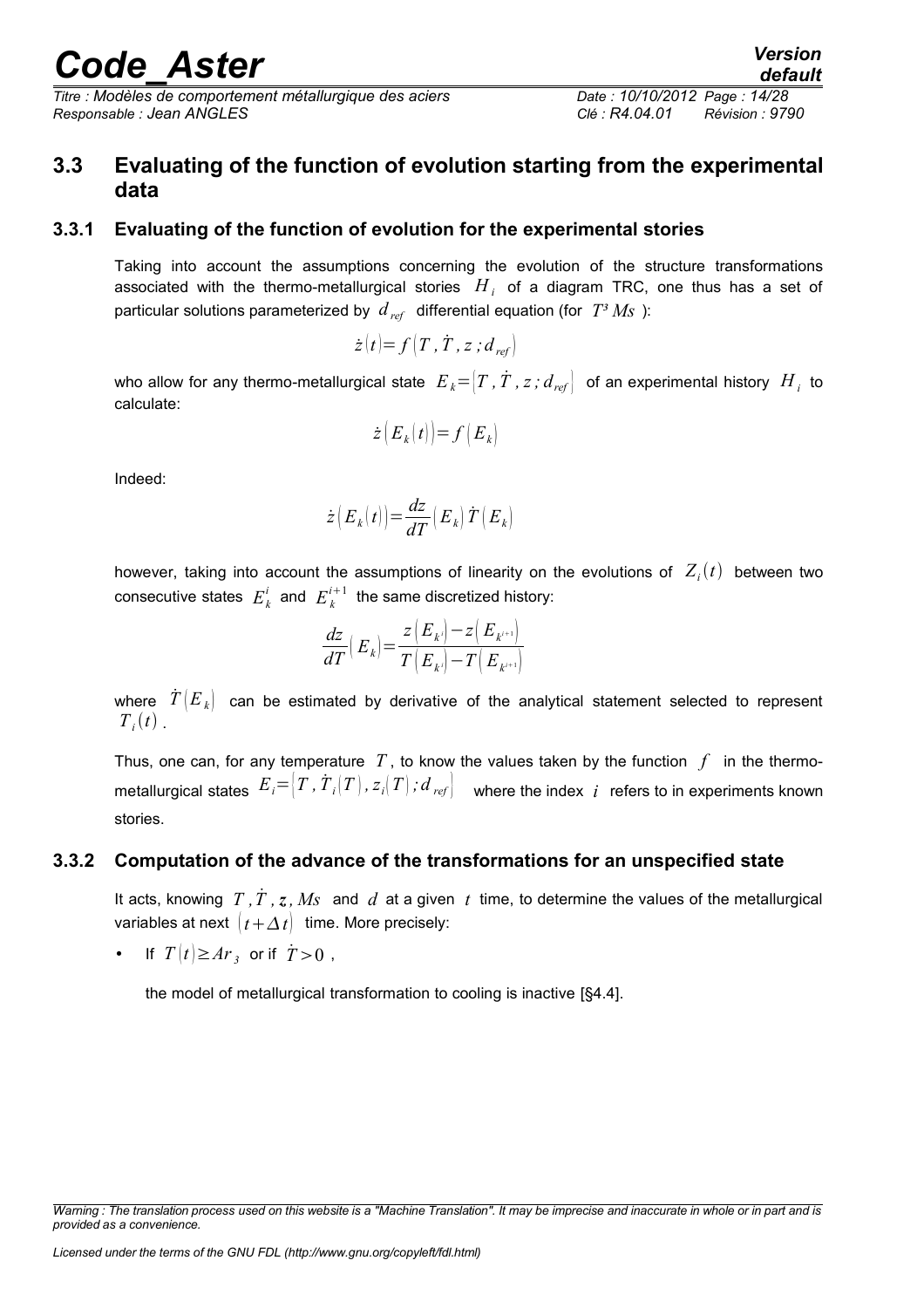*Titre : Modèles de comportement métallurgique des aciers Date : 10/10/2012 Page : 14/28 Responsable : Jean ANGLES Clé : R4.04.01 Révision : 9790*

### <span id="page-13-2"></span>**3.3 Evaluating of the function of evolution starting from the experimental data**

### **3.3.1 Evaluating of the function of evolution for the experimental stories**

<span id="page-13-1"></span>Taking into account the assumptions concerning the evolution of the structure transformations associated with the thermo-metallurgical stories  $|H_{\perp}|$  of a diagram TRC, one thus has a set of particular solutions parameterized by  $d_{ref}$  differential equation (for  $T^3 M_S$ ):

$$
\dot{z}(t) = f\left(T, \dot{T}, z; d_{ref}\right)
$$

who allow for any thermo-metallurgical state  $\ E_{~k} {=} [T$  *,*  $\dot{T}$  *,*  $z$  *;*  $d_{~ref} \bigr] \;$  of an experimental history  $~H_{~i}$  to calculate:

$$
\dot{z}\big(E_k(t)\big)\big| = f\big(E_k\big)
$$

Indeed:

$$
\dot{z}\left(\boldsymbol{E}_{k}\right(t)\right)\!=\!\frac{d z}{d T}\!\left(\boldsymbol{E}_{k}\right) \dot{T}\left(\boldsymbol{E}_{k}\right)
$$

however, taking into account the assumptions of linearity on the evolutions of  $Z_i(t)$  between two consecutive states  $E_k^i$  and  $E_k^{i+1}$  the same discretized history:

$$
\frac{dz}{dT}\left(\left.E_{k}\right)\right)\!=\!\frac{z\left(\left.E_{k'}\right)\!-\!z\!\left(\left.E_{k'\!+\!1}\right)\right.}{T\left(\left.E_{k'}\right)\!-\!T\!\left(\left.E_{k'\!+\!1}\right)\right.}
$$

where  $\hat{T}(E_k)$  can be estimated by derivative of the analytical statement selected to represent  $T_i(t)$ .

Thus, one can, for any temperature  $T$ , to know the values taken by the function  $f$  in the thermometallurgical states  $\ E_i {=} \bigl | T$  *,*  $\dot{T}_i(T)$  *,*  $z_i(T)$  *;*  $d$  $_{ref} \bigr |$  *where the index*  $\ i$  *refers to in experiments known* stories.

### **3.3.2 Computation of the advance of the transformations for an unspecified state**

<span id="page-13-0"></span>It acts, knowing  $T, \dot{T}, z, Ms$  and  $d$  at a given  $t$  time, to determine the values of the metallurgical variables at next  $\left(t + \Delta t\right)$  time. More precisely:

• If  $T(t) \geq Ar_3$  or if  $\dot{T} > 0$ ,

the model of metallurgical transformation to cooling is inactive [§4.4].

*default*

*Warning : The translation process used on this website is a "Machine Translation". It may be imprecise and inaccurate in whole or in part and is provided as a convenience.*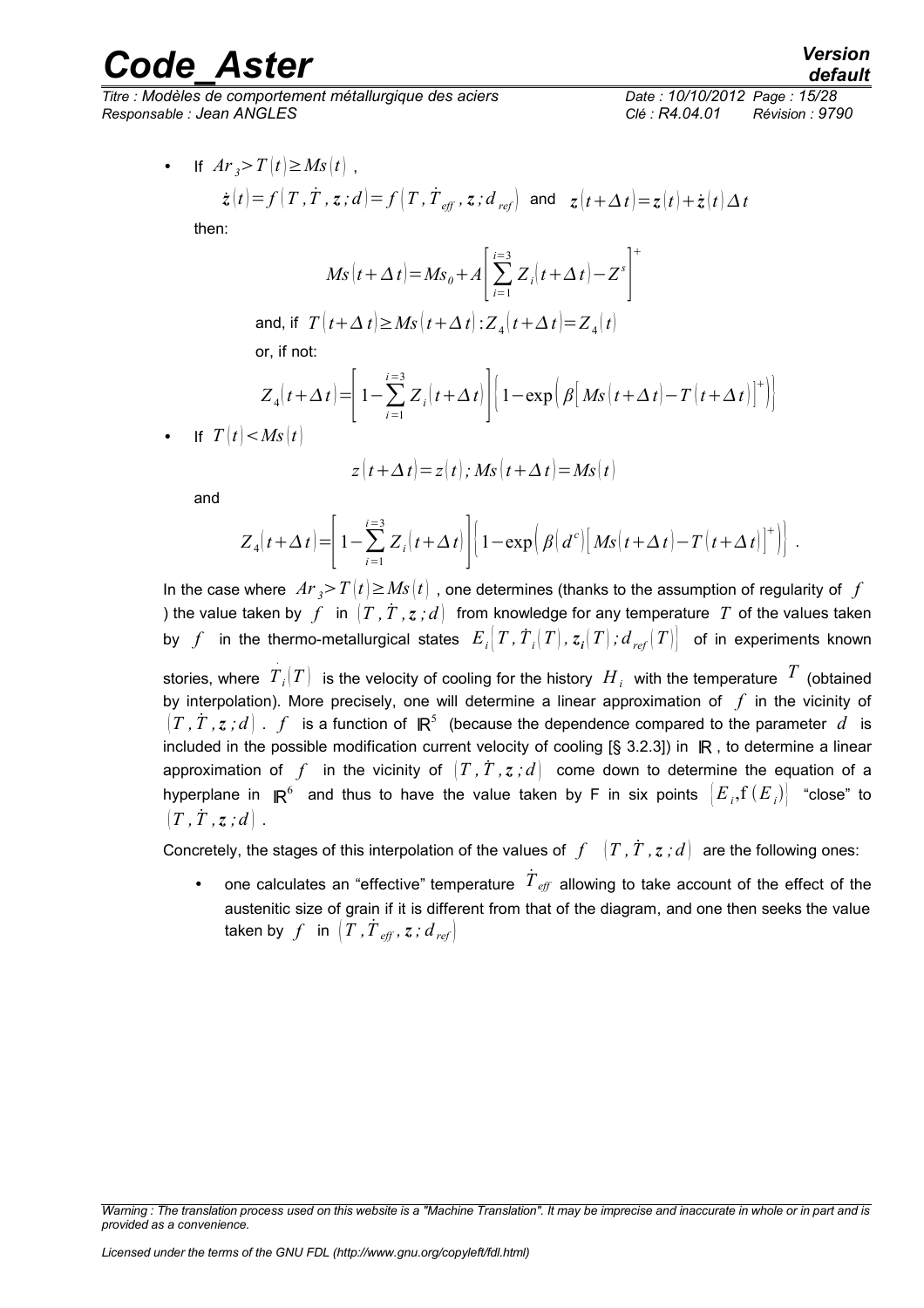*Titre : Modèles de comportement métallurgique des aciers Date : 10/10/2012 Page : 15/28 Responsable : Jean ANGLES Clé : R4.04.01 Révision : 9790*

• If 
$$
Ar_3 > T(t) \ge Ms(t)
$$
,  
\n $\dot{z}(t) = f(T, \dot{T}, z; d) = f(T, \dot{T}_{\text{eff}}, z; d_{\text{ref}})$  and  $z(t + \Delta t) = z(t) + \dot{z}(t) \Delta t$ 

then:

$$
Ms(t+\Delta t) = Ms_0 + A \left[ \sum_{i=1}^{i=3} Z_i(t+\Delta t) - Z^s \right]^+
$$
  
and, if  $T(t+\Delta t) \ge Ms(t+\Delta t) : Z_4(t+\Delta t) = Z_4(t)$ 

or, if not:

$$
Z_4(t+\Delta t) = \left[1 - \sum_{i=1}^{i=3} Z_i(t+\Delta t)\right] \left[1 - \exp\left(\beta \left[Ms(t+\Delta t) - T(t+\Delta t)\right]^+\right)\right]
$$

If  $T(t) < Ms(t)$ 

$$
z(t+\Delta t)=z(t); Ms(t+\Delta t)=Ms(t)
$$

and

$$
Z_4(t+\Delta t) = \left[1-\sum_{i=1}^{i=3} Z_i(t+\Delta t)\right] \left[1-\exp\left(\beta \left(d^c\right)\left[Ms(t+\Delta t)-T(t+\Delta t)\right]^+\right)\right].
$$

In the case where  $Ar \rightarrow T(t) \geq Ms(t)$ , one determines (thanks to the assumption of regularity of f ) the value taken by  $f$  in  $(T, \dot{T}, z, d)$  from knowledge for any temperature  $T$  of the values taken by  $f$  in the thermo-metallurgical states  $E_i\big|T$  ,  $\dot{T}_i(T)$  ,  $z_i\big|T\big|$  ;  $d_{\mathit{ref}}\big|T\big|\big|$  of in experiments known

stories, where *T<sup>i</sup>* .  $\left(T\right)$  is the velocity of cooling for the history  $\left.H_{i}\right.$  with the temperature  $\left.T\right.$  (obtained by interpolation). More precisely, one will determine a linear approximation of *f* in the vicinity of  $\left(T\,$ ,  $\dot{T}$  ,  $z$  *; d*  $\right)$  .  $\,f\,$  is a function of  $\,$  ℝR  $^5\,$  (because the dependence compared to the parameter  $\,d\,$  is included in the possible modification current velocity of cooling [§ 3.2.3]) in ℝ, to determine a linear approximation of f in the vicinity of  $(T, T, z, d)$  come down to determine the equation of a hyperplane in  ${}_{ }$  IR ${}^{6}$  and thus to have the value taken by F in six points  $\left| {{E}_{i}}\text{,f}\left( {{E}_{i}} \right) \right|$  "close" to  $|T, \dot{T}, z; d|$ .

Concretely, the stages of this interpolation of the values of  $f^{-1}(T, T, z; d)$  are the following ones:

• one calculates an "effective" temperature  $\dot{T}_{\textit{eff}}$  allowing to take account of the effect of the austenitic size of grain if it is different from that of the diagram, and one then seeks the value  $\textsf{taken by}\ \ f\ \ \textsf{ in}\ \ \bigl(T\, ,\dot{T}_{\mathit{eff}}\, ,\,z\, ;\,d_{\mathit{ref}}\bigr)\,.$ 

*Warning : The translation process used on this website is a "Machine Translation". It may be imprecise and inaccurate in whole or in part and is provided as a convenience.*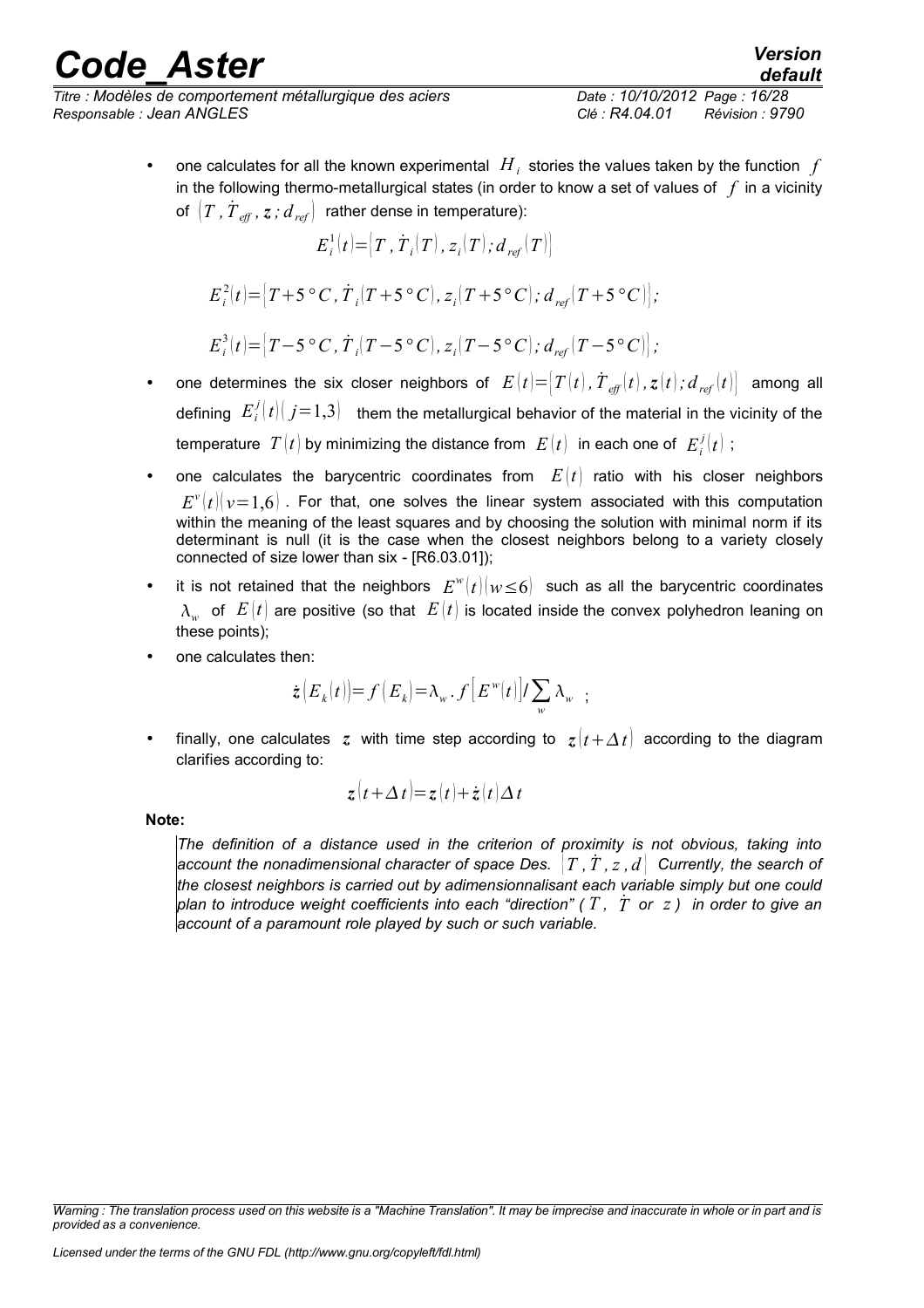## rande Aster *Version*

*Titre : Modèles de comportement métallurgique des aciers Date : 10/10/2012 Page : 16/28 Responsable : Jean ANGLES Clé : R4.04.01 Révision : 9790*

*default*

• one calculates for all the known experimental  $H_i$  stories the values taken by the function  $f$ in the following thermo-metallurgical states (in order to know a set of values of *f* in a vicinity of  $\left(T$  *,*  $\overset{\text{\small{r}}}{T}_{\text{\it{eff}}}$  *,*  $\text{\emph{z}}$  *<i>;*  $d$  *<sub>ref</sub>*  $\right)$  rather dense in temperature):

$$
E_i^1(t) = [T, \dot{T}_i(T), z_i(T); d_{ref}(T)]
$$

$$
E_i^2(t) = [T + 5 \,^{\circ}C, \dot{T}_i(T + 5 \,^{\circ}C), z_i(T + 5 \,^{\circ}C); d_{ref}(T + 5 \,^{\circ}C)],
$$

$$
E_i^3(t) = [T - 5 \, \degree C, \dot{T}_i(T - 5 \, \degree C), z_i(T - 5 \, \degree C); d_{ref}(T - 5 \, \degree C)],
$$

- one determines the six closer neighbors of  $E(t) = [T(t), T_{\text{eff}}(t), z(t); d_{\text{ref}}(t)]$  among all defining  $|E_i^j(t)|$   $j$  = 1,3) them the metallurgical behavior of the material in the vicinity of the temperature  $\; T \, | \, t \, |$  by minimizing the distance from  $\; E \, | \, t \, | \;$  in each one of  $\; E^{\, j}_{\, i} \, | \, t \, | \; ;$
- one calculates the barycentric coordinates from  $E(t)$  ratio with his closer neighbors  $E^\nu(t)|_{\mathcal{V}}{=}\,1{,}6)$  . For that, one solves the linear system associated with this computation within the meaning of the least squares and by choosing the solution with minimal norm if its determinant is null (it is the case when the closest neighbors belong to a variety closely connected of size lower than six - [R6.03.01]);
- it is not retained that the neighbors  $E^w(t)|w\leq 6$  such as all the barycentric coordinates  $\lambda_{_W}^{}$  of  $\,E\left(t\right)$  are positive (so that  $\,E\left(t\right)$  is located inside the convex polyhedron leaning on these points);
- one calculates then:

$$
\dot{\mathbf{z}}\left(\mathbf{E}_{k}(t)\right) = f\left(\mathbf{E}_{k}\right) = \lambda_{w} \cdot f\left[\mathbf{E}^{w}(t)\right] / \sum_{w} \lambda_{w} ;
$$

finally, one calculates *z* with time step according to  $z(t+\Delta t)$  according to the diagram clarifies according to:

$$
z(t+\Delta t)=z(t)+\dot{z}(t)\Delta t
$$

**Note:**

*The definition of a distance used in the criterion of proximity is not obvious, taking into account the nonadimensional character of space Des.* {*T ,T*˙ *,z , d* } *Currently, the search of the closest neighbors is carried out by adimensionnalisant each variable simply but one could plan to introduce weight coefficients into each "direction" ( T , T*˙ *or z ) in order to give an account of a paramount role played by such or such variable.*

*Warning : The translation process used on this website is a "Machine Translation". It may be imprecise and inaccurate in whole or in part and is provided as a convenience.*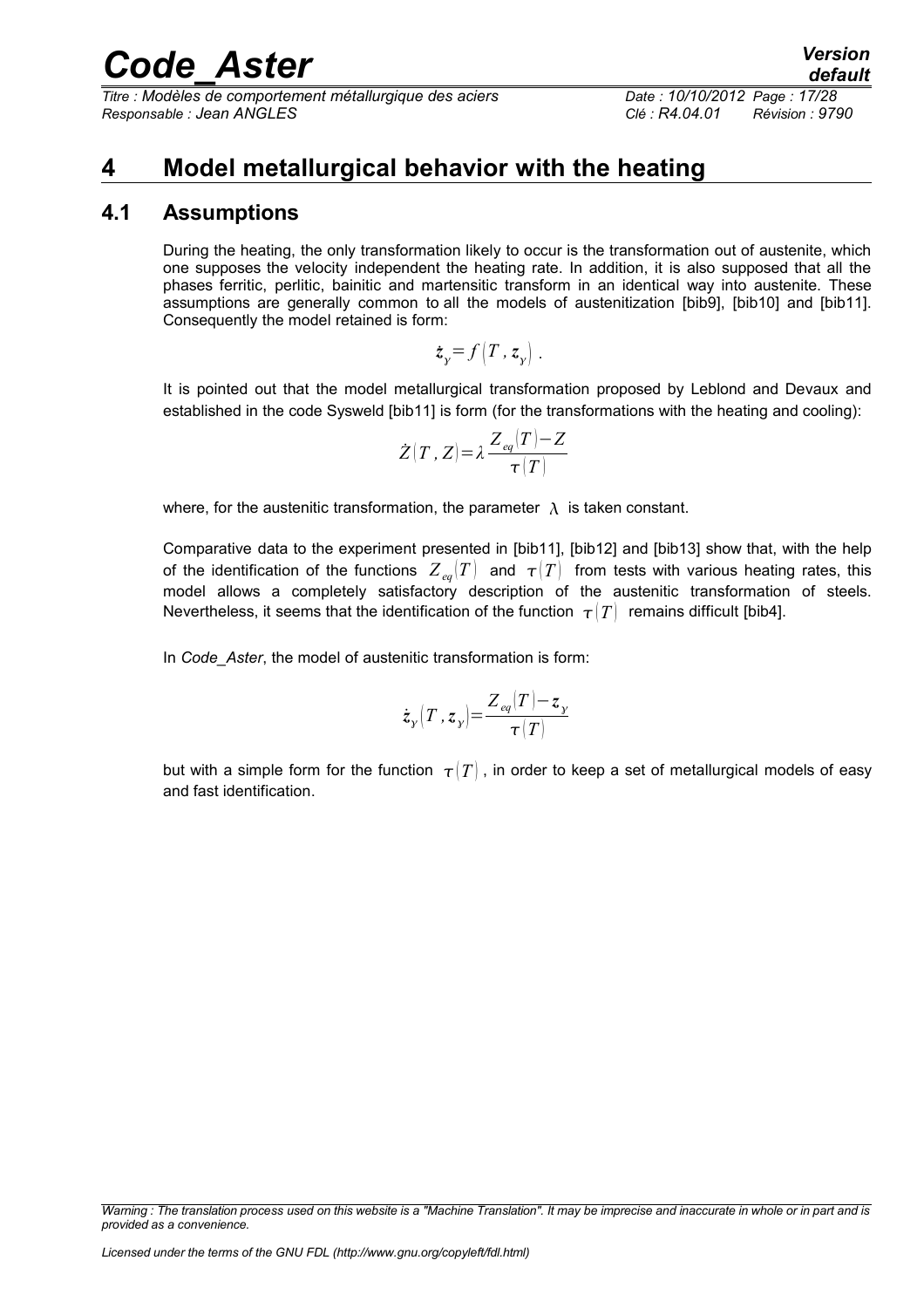*Titre : Modèles de comportement métallurgique des aciers Date : 10/10/2012 Page : 17/28 Responsable : Jean ANGLES Clé : R4.04.01 Révision : 9790*

### <span id="page-16-1"></span>**4 Model metallurgical behavior with the heating**

### **4.1 Assumptions**

<span id="page-16-0"></span>During the heating, the only transformation likely to occur is the transformation out of austenite, which one supposes the velocity independent the heating rate. In addition, it is also supposed that all the phases ferritic, perlitic, bainitic and martensitic transform in an identical way into austenite. These assumptions are generally common to all the models of austenitization [bib9], [bib10] and [bib11]. Consequently the model retained is form:

$$
\dot{z}_y = f\left(T, z_y\right).
$$

It is pointed out that the model metallurgical transformation proposed by Leblond and Devaux and established in the code Sysweld [bib11] is form (for the transformations with the heating and cooling):

$$
\dot{Z}(T\,,\,Z)\!=\!\lambda\frac{Z_{\textit{eq}}(T)\!-\!Z}{\tau(T)}
$$

where, for the austenitic transformation, the parameter  $\lambda$  is taken constant.

Comparative data to the experiment presented in [bib11], [bib12] and [bib13] show that, with the help of the identification of the functions  $Z_{eq}(T)$  and  $T(T)$  from tests with various heating rates, this model allows a completely satisfactory description of the austenitic transformation of steels. Nevertheless, it seems that the identification of the function  $\tau(T)$  remains difficult [bib4].

In *Code\_Aster*, the model of austenitic transformation is form:

$$
\dot{z}_y(T, z_y) = \frac{Z_{eq}(T) - z_y}{\tau(T)}
$$

but with a simple form for the function  $\tau(T)$ , in order to keep a set of metallurgical models of easy and fast identification.

*Warning : The translation process used on this website is a "Machine Translation". It may be imprecise and inaccurate in whole or in part and is provided as a convenience.*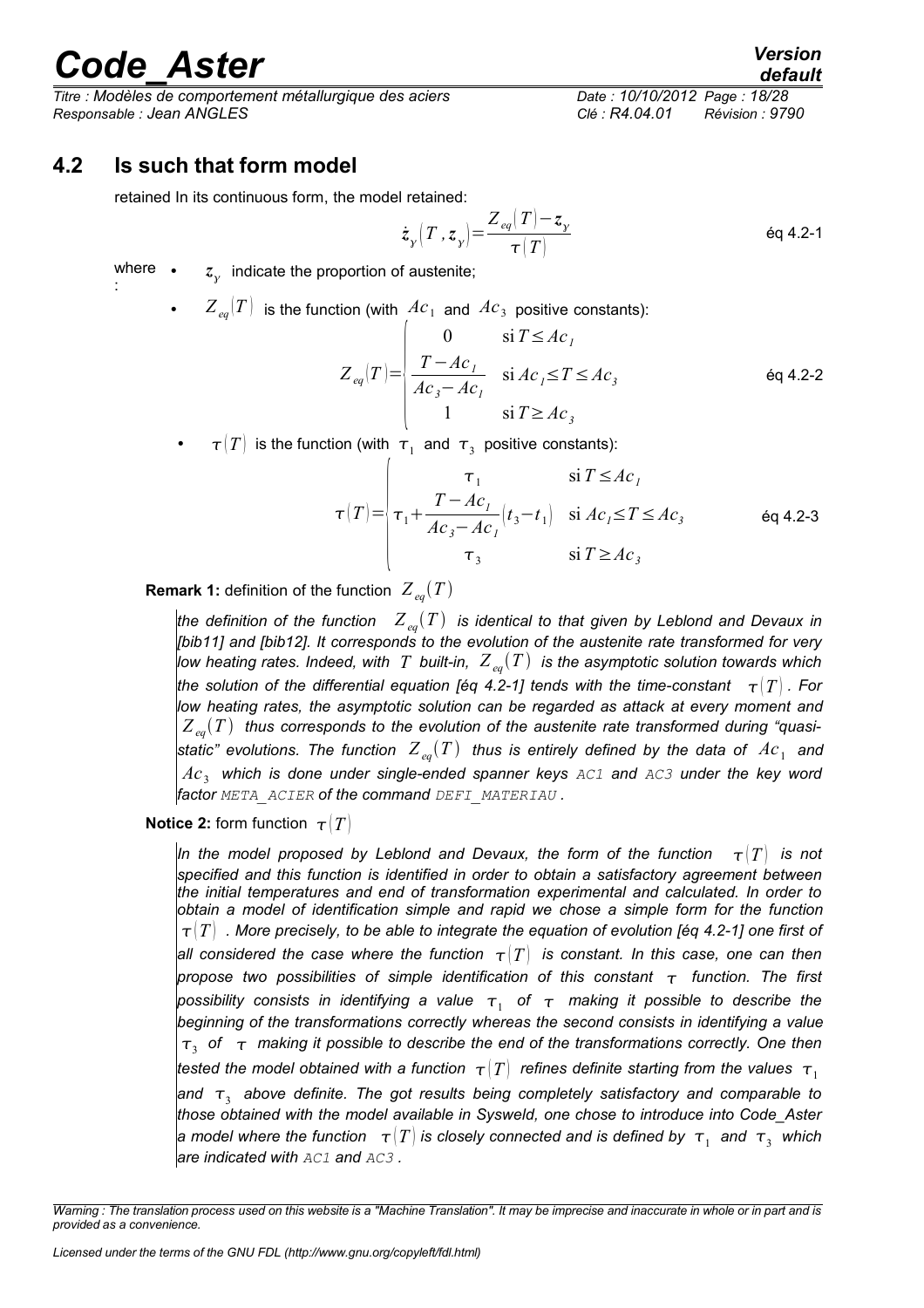:

*Titre : Modèles de comportement métallurgique des aciers Date : 10/10/2012 Page : 18/28 Responsable : Jean ANGLES Clé : R4.04.01 Révision : 9790*

### **4.2 Is such that form model**

<span id="page-17-0"></span>retained In its continuous form, the model retained:

$$
\dot{z}_y \left( T, z_y \right) = \frac{Z_{eq}(T) - z_y}{\tau(T)}
$$

where .  $\bullet$   $\mathcal{Z}_{\gamma}$  indicate the proportion of austenite;

• 
$$
Z_{eq}(T)
$$
 is the function (with  $Ac_1$  and  $Ac_3$  positive constants):  
\n
$$
Z_{eq}(T) = \begin{cases} 0 & \text{si } T \le Ac_1 \\ \frac{T - Ac_1}{Ac_3 - Ac_1} & \text{si } Ac_1 \le T \le Ac_3 \\ 1 & \text{si } T \ge Ac_3 \end{cases}
$$
 eq 4.2-2

•  $\tau(T)$  is the function (with  $\tau_1$  and  $\tau_3$  positive constants):

$$
\tau(T) = \begin{vmatrix}\n\tau_1 & \text{si } T \le Ac_1 \\
\tau_1 + \frac{T - Ac_1}{Ac_3 - Ac_1} (t_3 - t_1) & \text{si } Ac_1 \le T \le Ac_3 \\
\tau_3 & \text{si } T \ge Ac_3\n\end{vmatrix}
$$
 eq 4.2-3

**Remark 1:** definition of the function  $Z_{eq}(T)$ 

*the definition of the function*  $Z_{eq}(T)$  *is identical to that given by Leblond and Devaux in [bib11] and [bib12]. It corresponds to the evolution of the austenite rate transformed for very low heating rates. Indeed, with T built-in, Z eqT is the asymptotic solution towards which the solution of the differential equation [éq 4.2-1] tends with the time-constant*  $\tau(T)$  . For *low heating rates, the asymptotic solution can be regarded as attack at every moment and*  $Z_{\text{eq}}(T)$  thus corresponds to the evolution of the austenite rate transformed during "quasistatic" evolutions. The function  $\ Z_{\it eq}(T)$  thus is entirely defined by the data of  $\ AC_{1}$  and  $Ac_{3}$  which is done under single-ended spanner keys <code>AC1</code> and <code>AC3</code> under the key word *factor META\_ACIER of the command DEFI\_MATERIAU .*

**Notice 2:** form function  $\tau$   $(T)$ 

*In the model proposed by Leblond and Devaux, the form of the function*  $\tau(T)$  is not *specified and this function is identified in order to obtain a satisfactory agreement between the initial temperatures and end of transformation experimental and calculated. In order to obtain a model of identification simple and rapid we chose a simple form for the function*  $\tau$ <sup> $\vert$ </sup>  $T$  . More precisely, to be able to integrate the equation of evolution [éq 4.2-1] one first of *all considered the case where the function*  $\tau$  *T is constant. In this case, one can then propose two possibilities of simple identification of this constant function. The first* possibility consists in identifying a value  $\, \tau_{_{1}} \,$  of  $\, \tau_{-} \,$  making it possible to describe the *beginning of the transformations correctly whereas the second consists in identifying a value*  $\tau_{3}^{\parallel}$  of  $\parallel$   $\tau$  making it possible to describe the end of the transformations correctly. One then *tested the model obtained with a function*  $\tau(T)$  refines definite starting from the values  $\tau_1$ and  $\,\tau_{_3}\,$  above definite. The got results being completely satisfactory and comparable to *those obtained with the model available in Sysweld, one chose to introduce into Code\_Aster* a model where the function  $|\tau(T)|$  is closely connected and is defined by  $|\tau_1|$  and  $|\tau_3|$  which *are indicated with AC1 and AC3 .* 

*Warning : The translation process used on this website is a "Machine Translation". It may be imprecise and inaccurate in whole or in part and is provided as a convenience.*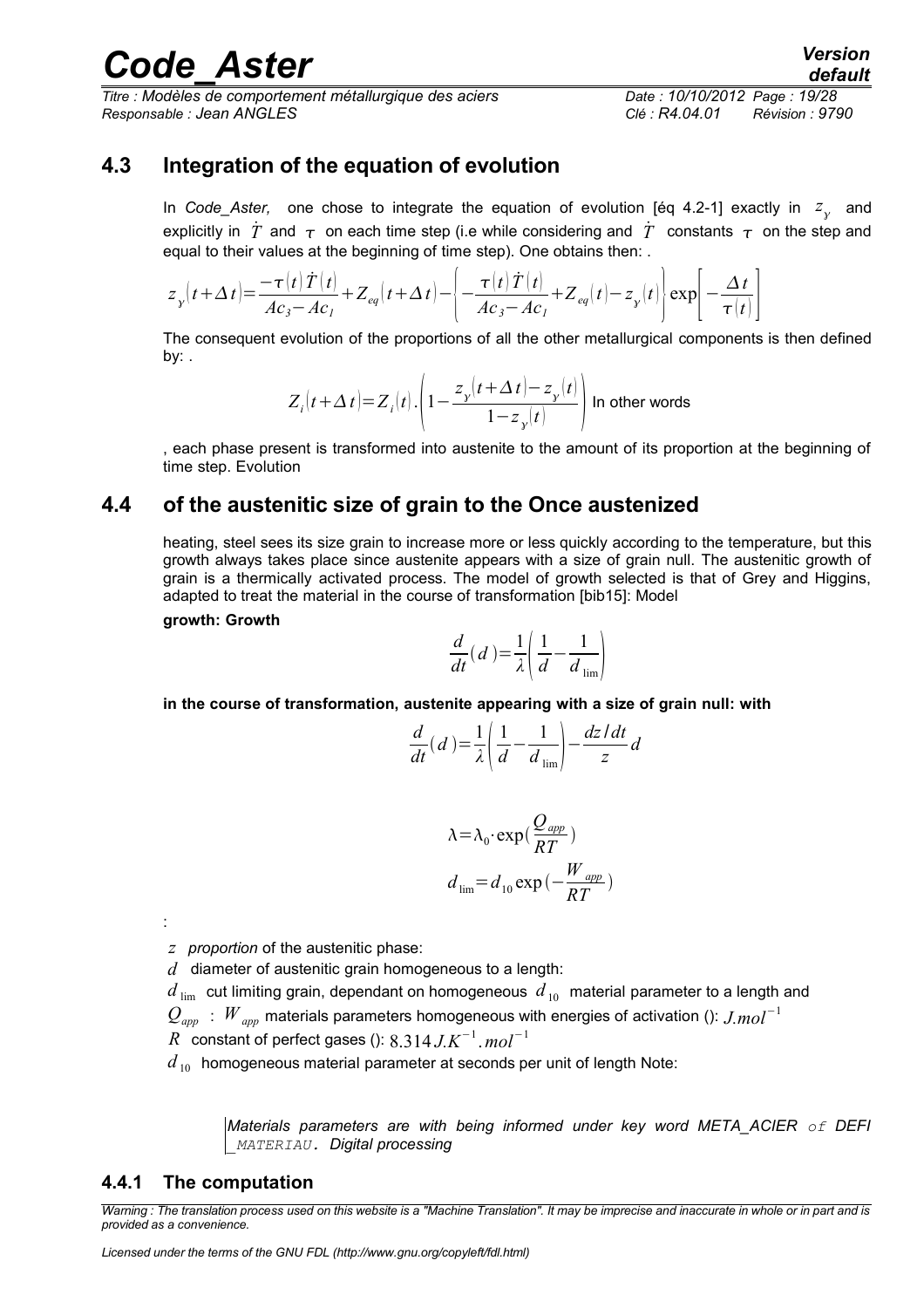*Titre : Modèles de comportement métallurgique des aciers Date : 10/10/2012 Page : 19/28 Responsable : Jean ANGLES Clé : R4.04.01 Révision : 9790*

### **4.3 Integration of the equation of evolution**

<span id="page-18-2"></span>In *Code\_Aster*, one chose to integrate the equation of evolution [éq 4.2-1] exactly in  $z_{\chi}$  and explicitly in  $\dot{T}$  and  $\tau$  on each time step (i.e while considering and  $\dot{T}$  constants  $\tau$  on the step and equal to their values at the beginning of time step). One obtains then: .

$$
z_{y}(t+\Delta t) = \frac{-\tau(t)\dot{T}(t)}{Ac_{3}-Ac_{1}} + Z_{eq}(t+\Delta t) - \left\{-\frac{\tau(t)\dot{T}(t)}{Ac_{3}-Ac_{1}} + Z_{eq}(t) - z_{y}(t)\right\} \exp\left[-\frac{\Delta t}{\tau(t)}\right]
$$

The consequent evolution of the proportions of all the other metallurgical components is then defined by: .

$$
Z_i\big|t+\Delta t\big)=Z_i\big|t\big|\Bigg.\Bigg(1-\frac{z_y\big|t+\Delta t\big|-z_y\big|t\big|}{1-z_y\big|t\big|}\Bigg)\ \text{In other words}
$$

, each phase present is transformed into austenite to the amount of its proportion at the beginning of time step. Evolution

### **4.4 of the austenitic size of grain to the Once austenized**

<span id="page-18-1"></span>heating, steel sees its size grain to increase more or less quickly according to the temperature, but this growth always takes place since austenite appears with a size of grain null. The austenitic growth of grain is a thermically activated process. The model of growth selected is that of Grey and Higgins, adapted to treat the material in the course of transformation [bib15]: Model

#### **growth: Growth**

$$
\frac{d}{dt}(d) = \frac{1}{\lambda} \left( \frac{1}{d} - \frac{1}{d_{\text{lim}}} \right)
$$

**in the course of transformation, austenite appearing with a size of grain null: with**

$$
\frac{d}{dt}(d) = \frac{1}{\lambda} \left( \frac{1}{d} - \frac{1}{d_{\lim}} \right) - \frac{dz/dt}{z}d
$$

$$
\lambda = \lambda_0 \cdot \exp\left(\frac{Q_{app}}{RT}\right)
$$

$$
d_{\lim} = d_{10} \exp\left(-\frac{W_{app}}{RT}\right)
$$

*z proportion* of the austenitic phase:

*d* diameter of austenitic grain homogeneous to a length:

 $d_{\text{lim}}$  cut limiting grain, dependant on homogeneous  $d_{10}$  material parameter to a length and

*Qapp* : *W app* materials parameters homogeneous with energies of activation (): *J.mol*<sup>−</sup><sup>1</sup>

*R* constant of perfect gases (): 8.314 *J.K*<sup>−</sup><sup>1</sup> .*mol*<sup>−</sup><sup>1</sup>

 $d_{10}$  homogeneous material parameter at seconds per unit of length Note:

*Materials parameters are with being informed under key word META\_ACIER of DEFI \_MATERIAU. Digital processing*

### <span id="page-18-0"></span>**4.4.1 The computation**

:

*Warning : The translation process used on this website is a "Machine Translation". It may be imprecise and inaccurate in whole or in part and is provided as a convenience.*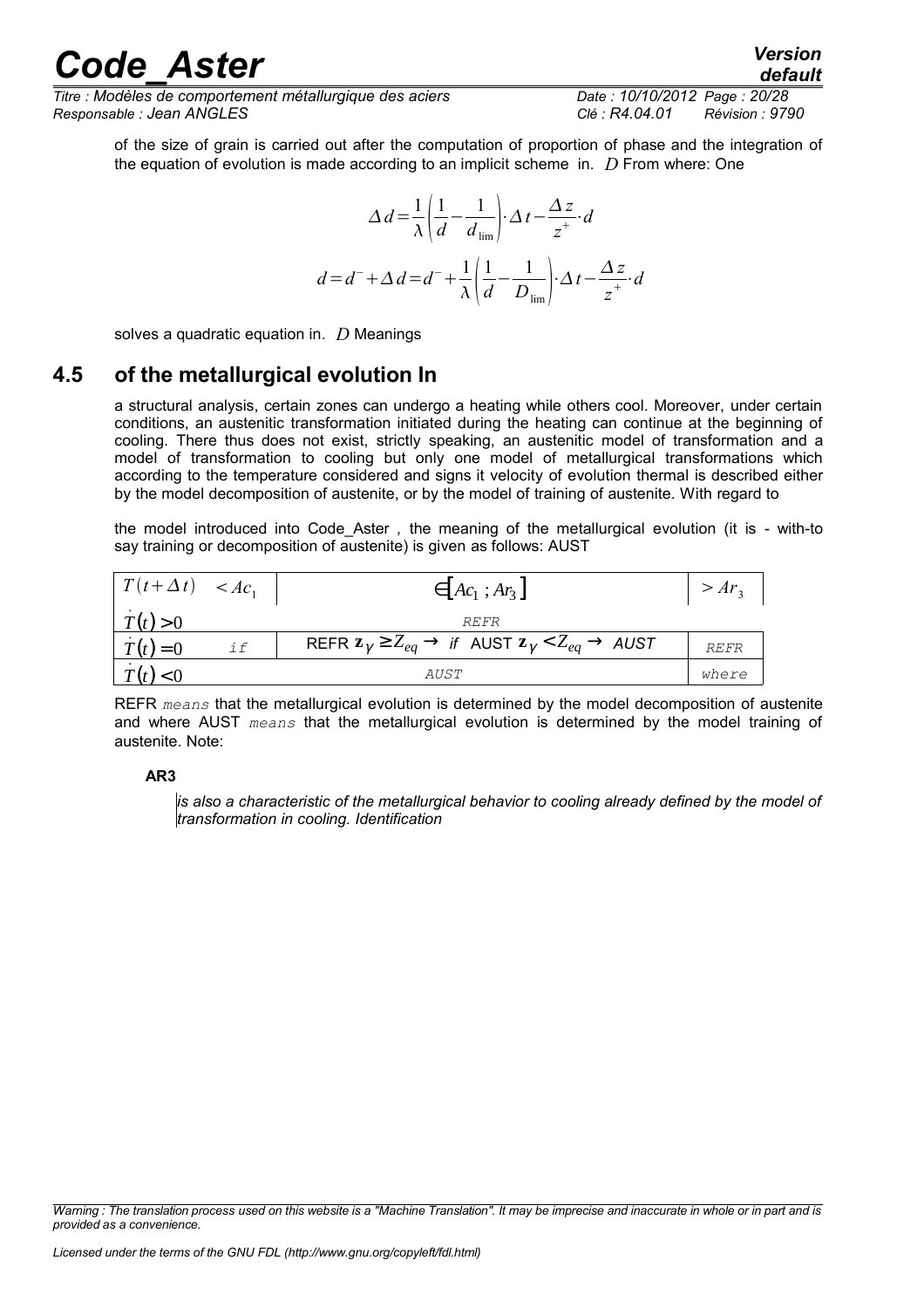*Titre : Modèles de comportement métallurgique des aciers Date : 10/10/2012 Page : 20/28 Responsable : Jean ANGLES Clé : R4.04.01 Révision : 9790*

of the size of grain is carried out after the computation of proportion of phase and the integration of the equation of evolution is made according to an implicit scheme in. *D* From where: One

$$
\Delta d = \frac{1}{\lambda} \left( \frac{1}{d} - \frac{1}{d_{\text{lim}}} \right) \cdot \Delta t - \frac{\Delta z}{z^+} \cdot d
$$

$$
d = d^- + \Delta d = d^- + \frac{1}{\lambda} \left( \frac{1}{d} - \frac{1}{D_{\text{lim}}} \right) \cdot \Delta t - \frac{\Delta z}{z^+} \cdot d
$$

<span id="page-19-0"></span>solves a quadratic equation in. *D* Meanings

### **4.5 of the metallurgical evolution In**

a structural analysis, certain zones can undergo a heating while others cool. Moreover, under certain conditions, an austenitic transformation initiated during the heating can continue at the beginning of cooling. There thus does not exist, strictly speaking, an austenitic model of transformation and a model of transformation to cooling but only one model of metallurgical transformations which according to the temperature considered and signs it velocity of evolution thermal is described either by the model decomposition of austenite, or by the model of training of austenite. With regard to

the model introduced into Code\_Aster *,* the meaning of the metallurgical evolution (it is - with-to say training or decomposition of austenite) is given as follows: AUST

| $\left  T(t+\Delta t) \right  < A c_1$ |    | $\in$ $\left[Ac_1; Ar_3\right]$                                                           |       |  |  |
|----------------------------------------|----|-------------------------------------------------------------------------------------------|-------|--|--|
| T(t) > 0                               |    | <i>REFR</i>                                                                               |       |  |  |
| $T(t)=0$                               | if | REFR $\mathbf{z}_{\gamma} \ge Z_{eq} \to$ if AUST $\mathbf{z}_{\gamma} < Z_{eq} \to$ AUST | REFR  |  |  |
|                                        |    | <i>AUST</i>                                                                               | where |  |  |

REFR *means* that the metallurgical evolution is determined by the model decomposition of austenite and where AUST *means* that the metallurgical evolution is determined by the model training of austenite. Note:

### **AR3**

*is also a characteristic of the metallurgical behavior to cooling already defined by the model of transformation in cooling. Identification*

*Warning : The translation process used on this website is a "Machine Translation". It may be imprecise and inaccurate in whole or in part and is provided as a convenience.*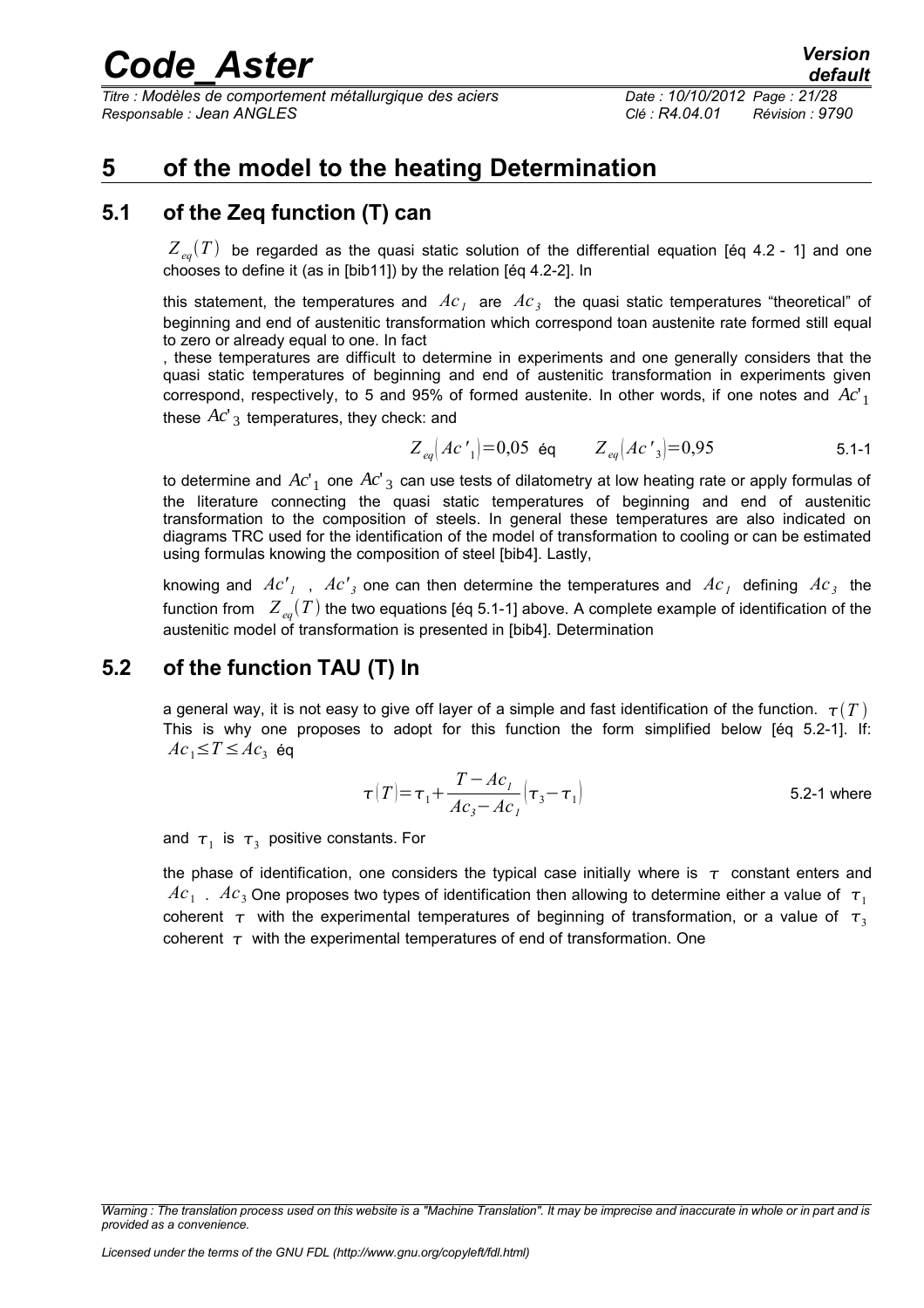*Titre : Modèles de comportement métallurgique des aciers Date : 10/10/2012 Page : 21/28 Responsable : Jean ANGLES Clé : R4.04.01 Révision : 9790*

### <span id="page-20-2"></span>**5 of the model to the heating Determination**

### **5.1 of the Zeq function (T) can**

<span id="page-20-1"></span> $Z_{eq}(T)$  be regarded as the quasi static solution of the differential equation [éq 4.2 - 1] and one chooses to define it (as in [bib11]) by the relation [éq 4.2-2]. In

this statement, the temperatures and  $\textit{Ac}_1$  are  $\textit{Ac}_3$  the quasi static temperatures "theoretical" of beginning and end of austenitic transformation which correspond toan austenite rate formed still equal to zero or already equal to one. In fact

, these temperatures are difficult to determine in experiments and one generally considers that the quasi static temperatures of beginning and end of austenitic transformation in experiments given correspond, respectively, to 5 and 95% of formed austenite. In other words, if one notes and *Ac*'<sup>1</sup> these  $Ac'$ <sub>3</sub> temperatures, they check: and

$$
Z_{eq}[Ac'] = 0.05
$$
 eq  $Z_{eq}[Ac'] = 0.95$  5.1-1

to determine and  $A c^\prime_{\;1}$  one  $A c^\prime_{\;3}$  can use tests of dilatometry at low heating rate or apply formulas of the literature connecting the quasi static temperatures of beginning and end of austenitic transformation to the composition of steels. In general these temperatures are also indicated on diagrams TRC used for the identification of the model of transformation to cooling or can be estimated using formulas knowing the composition of steel [bib4]. Lastly,

knowing and  $Ac'_{I}$  ,  $Ac'_{3}$  one can then determine the temperatures and  $Ac_{I}$  defining  $Ac_{3}$  the function from  $Z_{eq}(T)$  the two equations [éq 5.1-1] above. A complete example of identification of the austenitic model of transformation is presented in [bib4]. Determination

### **5.2 of the function TAU (T) In**

<span id="page-20-0"></span>a general way, it is not easy to give off layer of a simple and fast identification of the function.  $\tau(T)$ This is why one proposes to adopt for this function the form simplified below [éq 5.2-1]. If:  $Ac_1$ ≤ $T$ ≤ $Ac_3$  éq

$$
\tau(T) = \tau_1 + \frac{T - Ac_1}{Ac_3 - Ac_1} \left(\tau_3 - \tau_1\right)
$$
 5.2-1 where

and  $\tau_1$  is  $\tau_3$  positive constants. For

the phase of identification, one considers the typical case initially where is  $\tau$  constant enters and  $Ac_1$ .  $Ac_3$  One proposes two types of identification then allowing to determine either a value of  $\tau_1$ coherent  $\tau$  with the experimental temperatures of beginning of transformation, or a value of  $\tau$ , coherent  $\tau$  with the experimental temperatures of end of transformation. One

*Warning : The translation process used on this website is a "Machine Translation". It may be imprecise and inaccurate in whole or in part and is provided as a convenience.*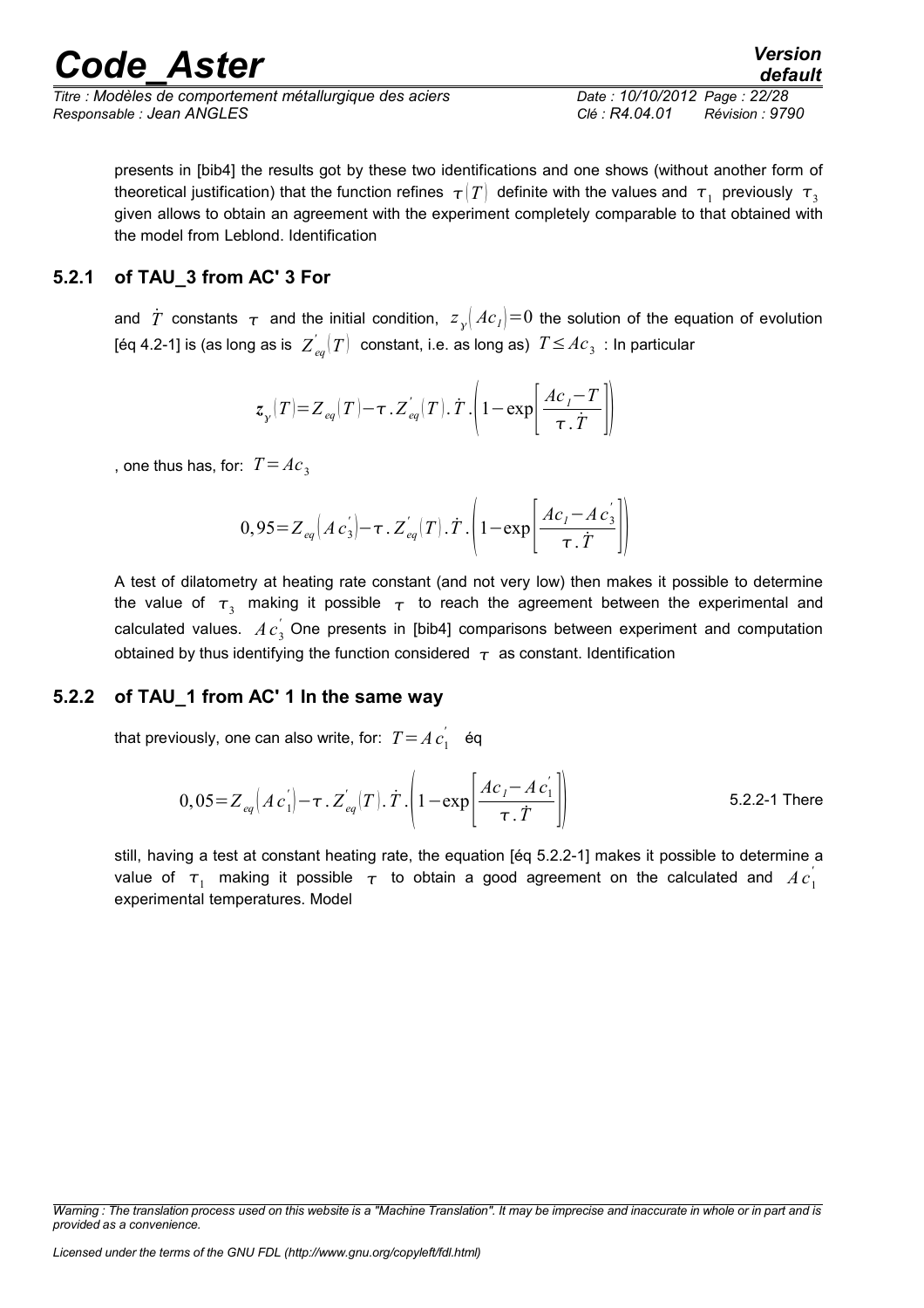| <b>Code Aster</b> | <b>Version</b> |
|-------------------|----------------|
|                   | default        |

*Titre : Modèles de comportement métallurgique des aciers Date : 10/10/2012 Page : 22/28 Responsable : Jean ANGLES Clé : R4.04.01 Révision : 9790*

presents in [bib4] the results got by these two identifications and one shows (without another form of theoretical justification) that the function refines  $|\tau(T)|$  definite with the values and  $|\tau_1|$  previously  $|\tau_3|$ given allows to obtain an agreement with the experiment completely comparable to that obtained with the model from Leblond. Identification

### **5.2.1 of TAU\_3 from AC' 3 For**

<span id="page-21-1"></span>and  $\dot{T}$  constants  $\tau$  and the initial condition,  $z_{y}^{}/A c_{I}^{}$  = 0 the solution of the equation of evolution [éq 4.2-1] is (as long as is  $\left. Z_{eq}^{'}(T)\right.$  constant, i.e. as long as)  $\left. T{\le}Ac_{3}\right.$  : In particular

$$
z_{y}(T) = Z_{eq}(T) - \tau \cdot Z_{eq}^{'}(T) \cdot \dot{T} \cdot \left(1 - \exp\left[\frac{Ac_{I} - T}{\tau \cdot \dot{T}}\right]\right)
$$

, one thus has, for:  $T = Ac_3$ 

$$
0.95 = Z_{eq}(A c_3^{'}) - \tau \cdot Z_{eq}^{'}(T) \cdot \dot{T} \cdot \left(1 - \exp\left[\frac{Ac_1 - Ac_3'}{\tau \cdot \dot{T}}\right]\right)
$$

A test of dilatometry at heating rate constant (and not very low) then makes it possible to determine the value of  $\tau_3$  making it possible  $\tau$  to reach the agreement between the experimental and calculated values.  $A c_3^{'}$  One presents in [bib4] comparisons between experiment and computation obtained by thus identifying the function considered  $\tau$  as constant. Identification

### **5.2.2 of TAU\_1 from AC' 1 In the same way**

<span id="page-21-0"></span>that previously, one can also write, for:  $T = A c_1^{'}$  éq

$$
0,05 = Z_{eq} (A c_1^{'} ) - \tau \cdot Z_{eq}^{'} (T) \cdot \dot{T} \cdot \left( 1 - \exp \left[ \frac{A c_1 - A c_1^{'} }{\tau \cdot \dot{T}} \right] \right)
$$
 5.2.2-1 There

still, having a test at constant heating rate, the equation [éq 5.2.2-1] makes it possible to determine a value of  $\tau_1$  making it possible  $\tau$  to obtain a good agreement on the calculated and  $\overline{A}c_1^{'}$ experimental temperatures. Model

*Warning : The translation process used on this website is a "Machine Translation". It may be imprecise and inaccurate in whole or in part and is provided as a convenience.*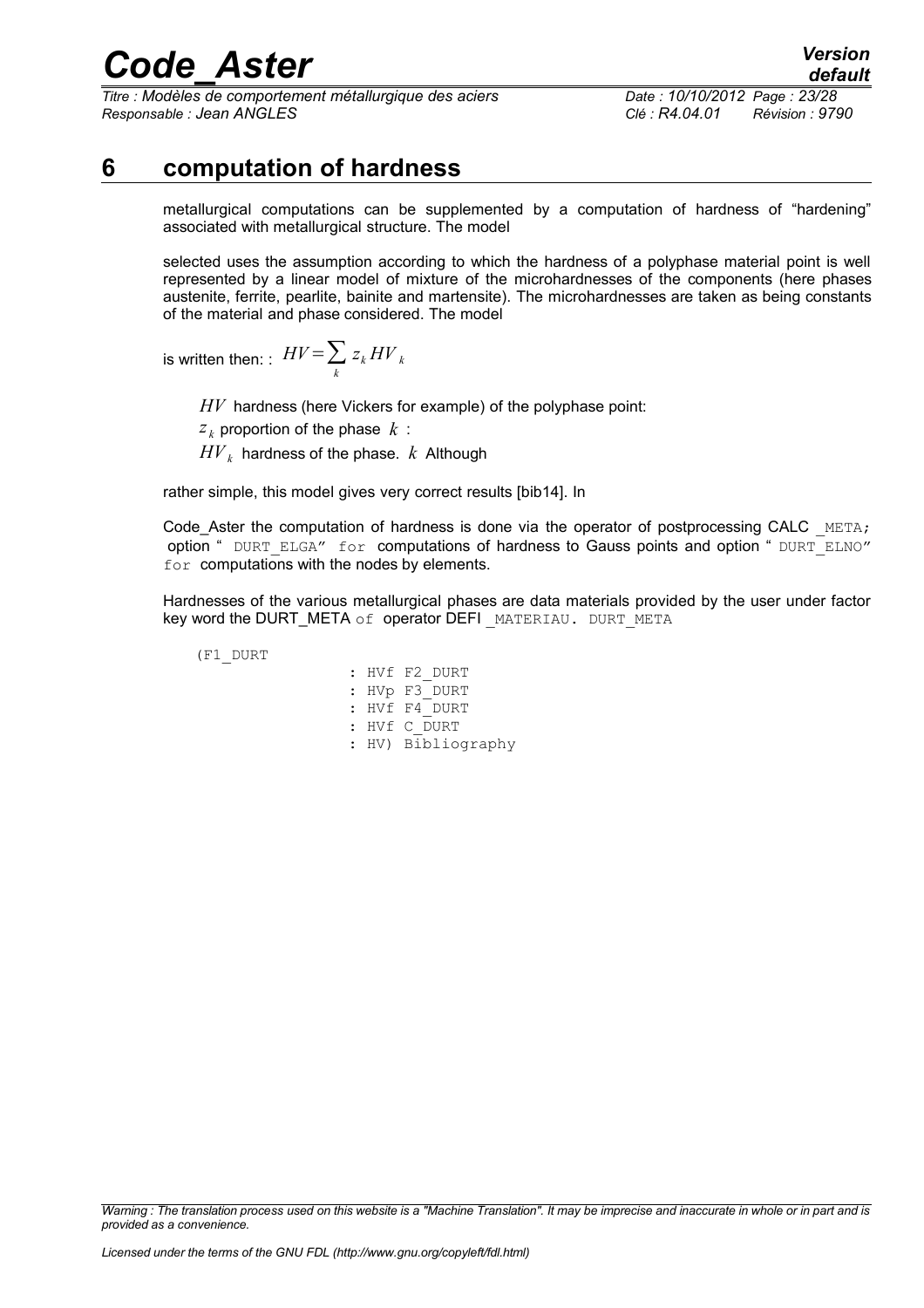*Titre : Modèles de comportement métallurgique des aciers Date : 10/10/2012 Page : 23/28 Responsable : Jean ANGLES Clé : R4.04.01 Révision : 9790*

*default*

### **6 computation of hardness**

<span id="page-22-0"></span>metallurgical computations can be supplemented by a computation of hardness of "hardening" associated with metallurgical structure. The model

selected uses the assumption according to which the hardness of a polyphase material point is well represented by a linear model of mixture of the microhardnesses of the components (here phases austenite, ferrite, pearlite, bainite and martensite). The microhardnesses are taken as being constants of the material and phase considered. The model

is written then: :  $H V \! = \! \sum_k$  $z_k$  *HV*  $_k$ 

*HV* hardness (here Vickers for example) of the polyphase point:

 $z_k$  proportion of the phase  $k$ :

 $H V_k$  hardness of the phase.  $k$  Although

rather simple, this model gives very correct results [bib14]. In

Code Aster the computation of hardness is done via the operator of postprocessing CALC  $META$ ; option " DURT\_ELGA" for computations of hardness to Gauss points and option " DURT\_ELNO" for computations with the nodes by elements.

Hardnesses of the various metallurgical phases are data materials provided by the user under factor key word the DURT\_META of operator DEFI MATERIAU. DURT\_META

(F1\_DURT

: HVf F2\_DURT : HVp F3\_DURT : HVf F4\_DURT : HVf C\_DURT : HV) Bibliography

*Warning : The translation process used on this website is a "Machine Translation". It may be imprecise and inaccurate in whole or in part and is provided as a convenience.*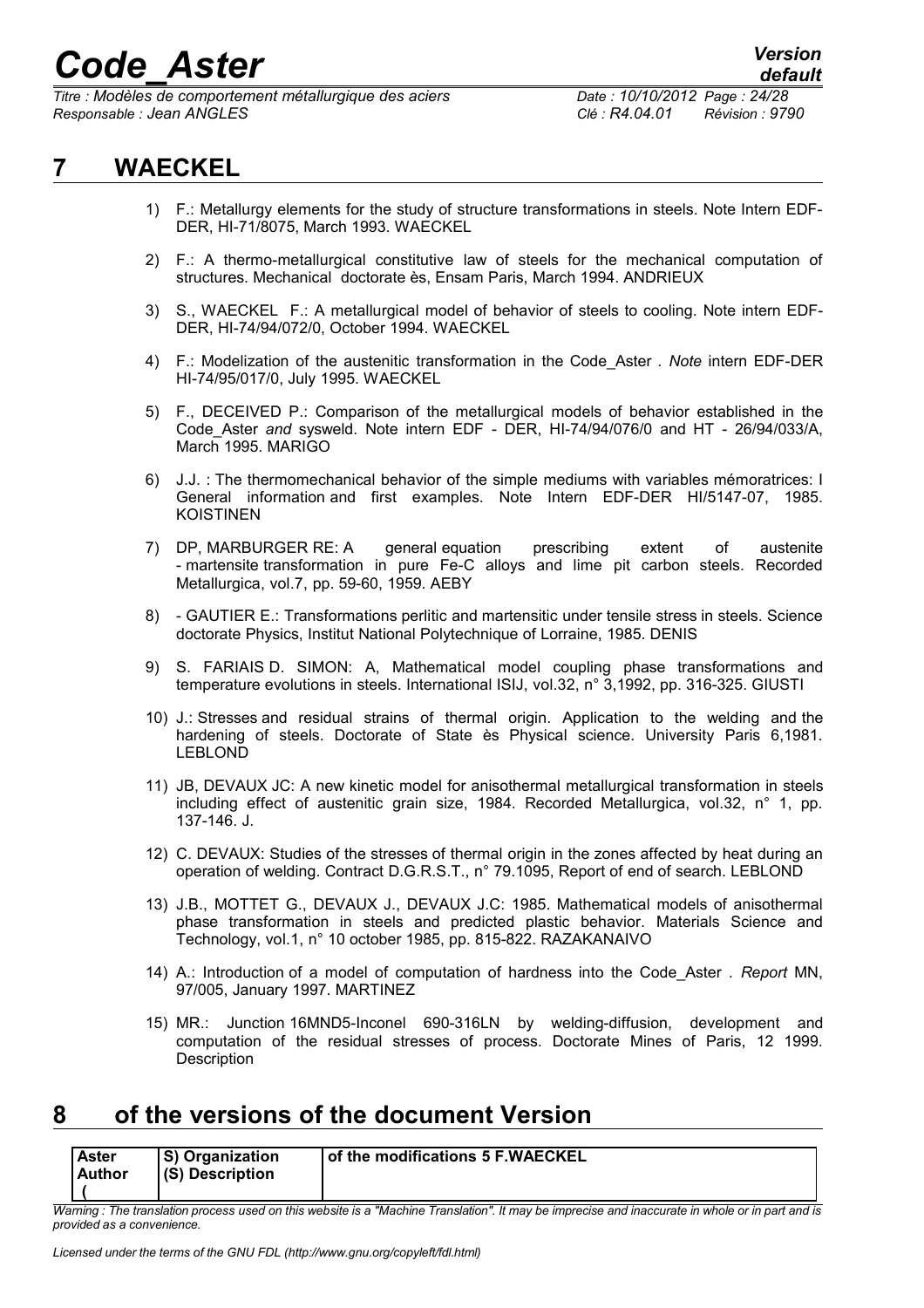*Titre : Modèles de comportement métallurgique des aciers Date : 10/10/2012 Page : 24/28 Responsable : Jean ANGLES Clé : R4.04.01 Révision : 9790*

### **7 WAECKEL**

- <span id="page-23-1"></span>1) F.: Metallurgy elements for the study of structure transformations in steels. Note Intern EDF-DER, HI-71/8075, March 1993. WAECKEL
- 2) F.: A thermo-metallurgical constitutive law of steels for the mechanical computation of structures. Mechanical doctorate ès, Ensam Paris, March 1994. ANDRIEUX
- 3) S., WAECKEL F.: A metallurgical model of behavior of steels to cooling. Note intern EDF-DER, HI-74/94/072/0, October 1994. WAECKEL
- 4) F.: Modelization of the austenitic transformation in the Code\_Aster *. Note* intern EDF-DER HI-74/95/017/0, July 1995. WAECKEL
- 5) F., DECEIVED P.: Comparison of the metallurgical models of behavior established in the Code\_Aster *and* sysweld. Note intern EDF - DER, HI-74/94/076/0 and HT - 26/94/033/A, March 1995. MARIGO
- 6) J.J. : The thermomechanical behavior of the simple mediums with variables mémoratrices: I General information and first examples. Note Intern EDF-DER HI/5147-07, 1985. KOISTINEN
- 7) DP, MARBURGER RE: A general equation prescribing extent of austenite - martensite transformation in pure Fe-C alloys and lime pit carbon steels. Recorded Metallurgica, vol.7, pp. 59-60, 1959. AEBY
- 8) GAUTIER E.: Transformations perlitic and martensitic under tensile stress in steels. Science doctorate Physics, Institut National Polytechnique of Lorraine, 1985. DENIS
- 9) S. FARIAIS D. SIMON: A, Mathematical model coupling phase transformations and temperature evolutions in steels. International ISIJ, vol.32, n° 3,1992, pp. 316-325. GIUSTI
- 10) J.: Stresses and residual strains of thermal origin. Application to the welding and the hardening of steels. Doctorate of State ès Physical science. University Paris 6,1981. LEBLOND
- 11) JB, DEVAUX JC: A new kinetic model for anisothermal metallurgical transformation in steels including effect of austenitic grain size, 1984. Recorded Metallurgica, vol.32, n° 1, pp. 137-146. J.
- 12) C. DEVAUX: Studies of the stresses of thermal origin in the zones affected by heat during an operation of welding. Contract D.G.R.S.T., n° 79.1095, Report of end of search. LEBLOND
- 13) J.B., MOTTET G., DEVAUX J., DEVAUX J.C: 1985. Mathematical models of anisothermal phase transformation in steels and predicted plastic behavior. Materials Science and Technology, vol.1, n° 10 october 1985, pp. 815-822. RAZAKANAIVO
- 14) A.: Introduction of a model of computation of hardness into the Code\_Aster *. Report* MN, 97/005, January 1997. MARTINEZ
- 15) MR.: Junction 16MND5-Inconel 690-316LN by welding-diffusion, development and computation of the residual stresses of process. Doctorate Mines of Paris, 12 1999. **Description**

### <span id="page-23-0"></span>**8 of the versions of the document Version**

| <b>Aster</b><br><b>Author</b> | <b>S</b> ) Organization<br>$ $ (S) Description | of the modifications 5 F.WAECKEL |
|-------------------------------|------------------------------------------------|----------------------------------|
|                               |                                                |                                  |

*Warning : The translation process used on this website is a "Machine Translation". It may be imprecise and inaccurate in whole or in part and is provided as a convenience.*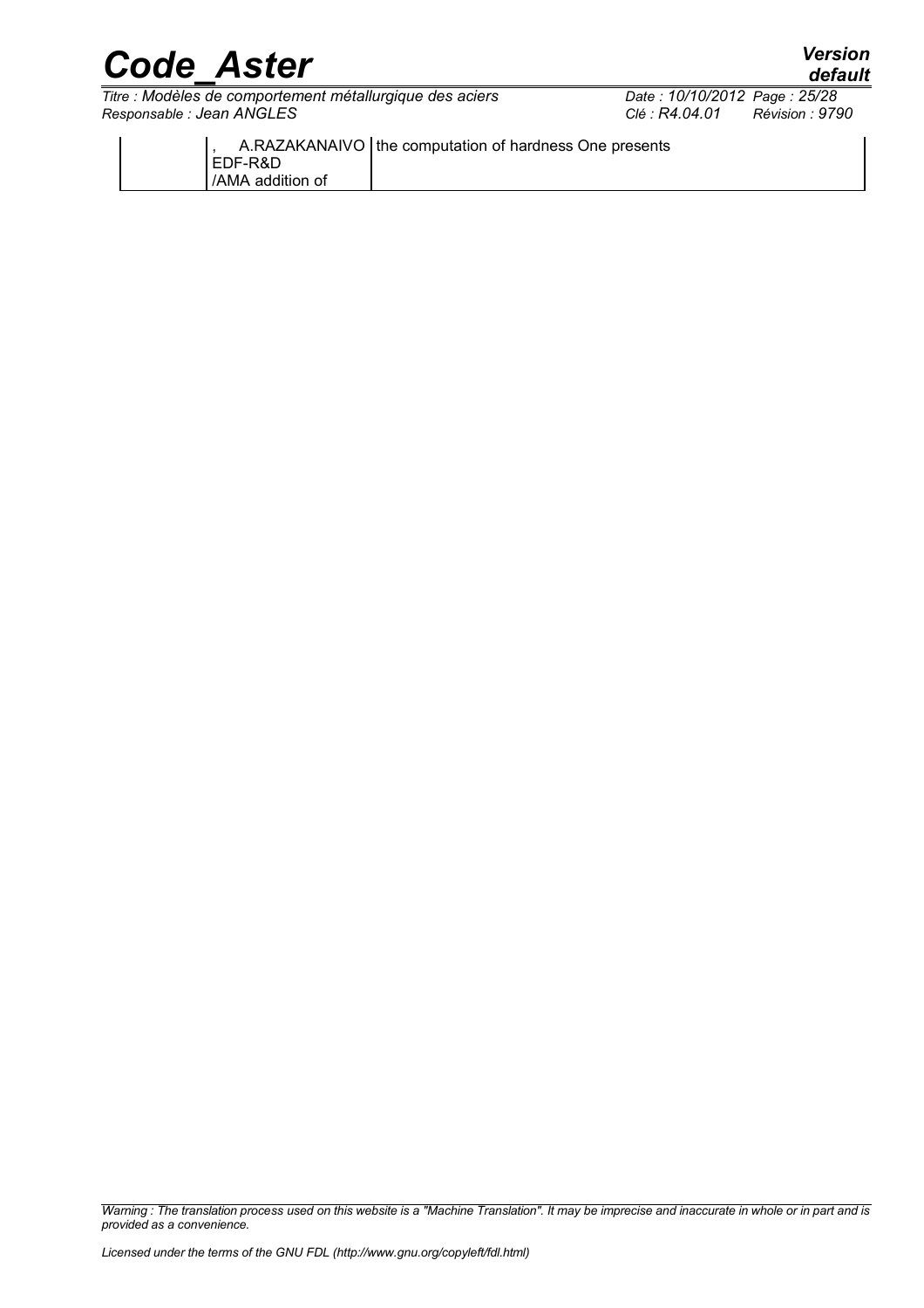*Titre : Modèles de comportement métallurgique des aciers Date : 10/10/2012 Page : 25/28 Responsable : Jean ANGLES Clé : R4.04.01 Révision : 9790*

|                  | A.RAZAKANAIVO   the computation of hardness One presents |
|------------------|----------------------------------------------------------|
| I EDF-R&D        |                                                          |
| /AMA addition of |                                                          |
|                  |                                                          |

*Warning : The translation process used on this website is a "Machine Translation". It may be imprecise and inaccurate in whole or in part and is provided as a convenience.*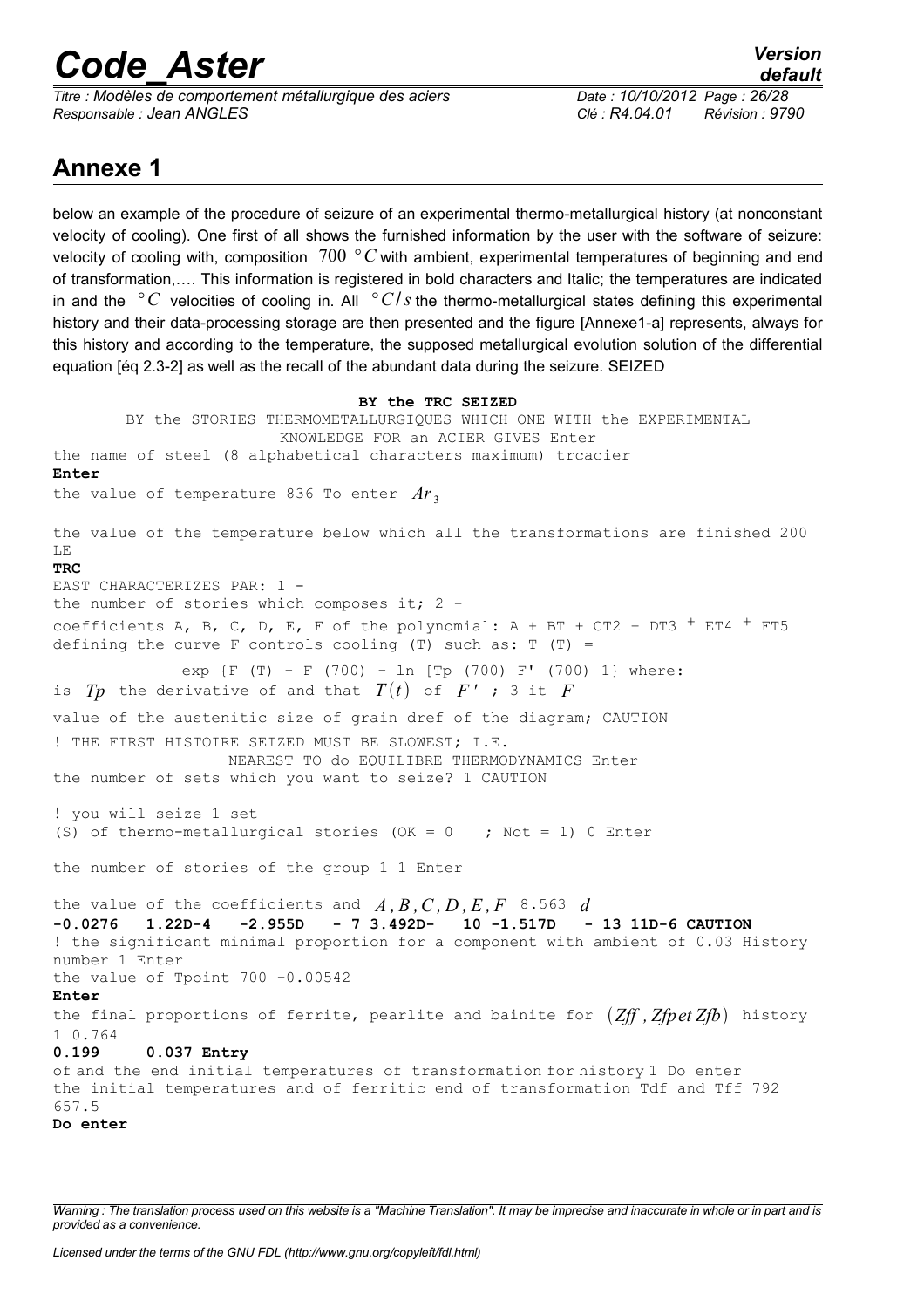*Titre : Modèles de comportement métallurgique des aciers Date : 10/10/2012 Page : 26/28 Responsable : Jean ANGLES Clé : R4.04.01 Révision : 9790*

### **Annexe 1**

below an example of the procedure of seizure of an experimental thermo-metallurgical history (at nonconstant velocity of cooling). One first of all shows the furnished information by the user with the software of seizure: velocity of cooling with, composition 700 *° C* with ambient, experimental temperatures of beginning and end of transformation,…. This information is registered in bold characters and Italic; the temperatures are indicated in and the  $\degree C$  velocities of cooling in. All  $\degree C/s$  the thermo-metallurgical states defining this experimental history and their data-processing storage are then presented and the figure [Annexe1-a] represents, always for this history and according to the temperature, the supposed metallurgical evolution solution of the differential equation [éq 2.3-2] as well as the recall of the abundant data during the seizure. SEIZED

```
BY the TRC SEIZED
       BY the STORIES THERMOMETALLURGIQUES WHICH ONE WITH the EXPERIMENTAL
                        KNOWLEDGE FOR an ACIER GIVES Enter
the name of steel (8 alphabetical characters maximum) trcacier 
Enter
the value of temperature 836 To enter Ar<sub>3</sub>the value of the temperature below which all the transformations are finished 200
LE 
TRC
EAST CHARACTERIZES PAR: 1 -
the number of stories which composes it; 2 -coefficients A, B, C, D, E, F of the polynomial: A + BT + CT2 + DT3 + ET4 + FT5defining the curve F controls cooling (T) such as: T(T) =exp {F (T) - F (700) - ln [Tp (700) F' (700) 1} where: 
is Tp the derivative of and that T(t) of F' ; 3 it Fvalue of the austenitic size of grain dref of the diagram; CAUTION
! THE FIRST HISTOIRE SEIZED MUST BE SLOWEST; I.E. 
                   NEAREST TO do EQUILIBRE THERMODYNAMICS Enter 
the number of sets which you want to seize? 1 CAUTION
! you will seize 1 set 
(S) of thermo-metallurgical stories (OK = 0 ; Not = 1) 0 Enter
the number of stories of the group 1 1 Enter 
the value of the coefficients and A, B, C, D, E, F 8.563 d-0.0276 1.22D-4 -2.955D - 7 3.492D- 10 -1.517D - 13 11D-6 CAUTION
! the significant minimal proportion for a component with ambient of 0.03 History
number 1 Enter 
the value of Tpoint 700 -0.00542 
Enter
the final proportions of ferrite, pearlite and bainite for Zff , Zfpet Zfb history
1 0.764 
0.199 0.037 Entry 
of and the end initial temperatures of transformation for history 1 Do enter
the initial temperatures and of ferritic end of transformation Tdf and Tff 792
657.5
Do enter
```
*Warning : The translation process used on this website is a "Machine Translation". It may be imprecise and inaccurate in whole or in part and is provided as a convenience.*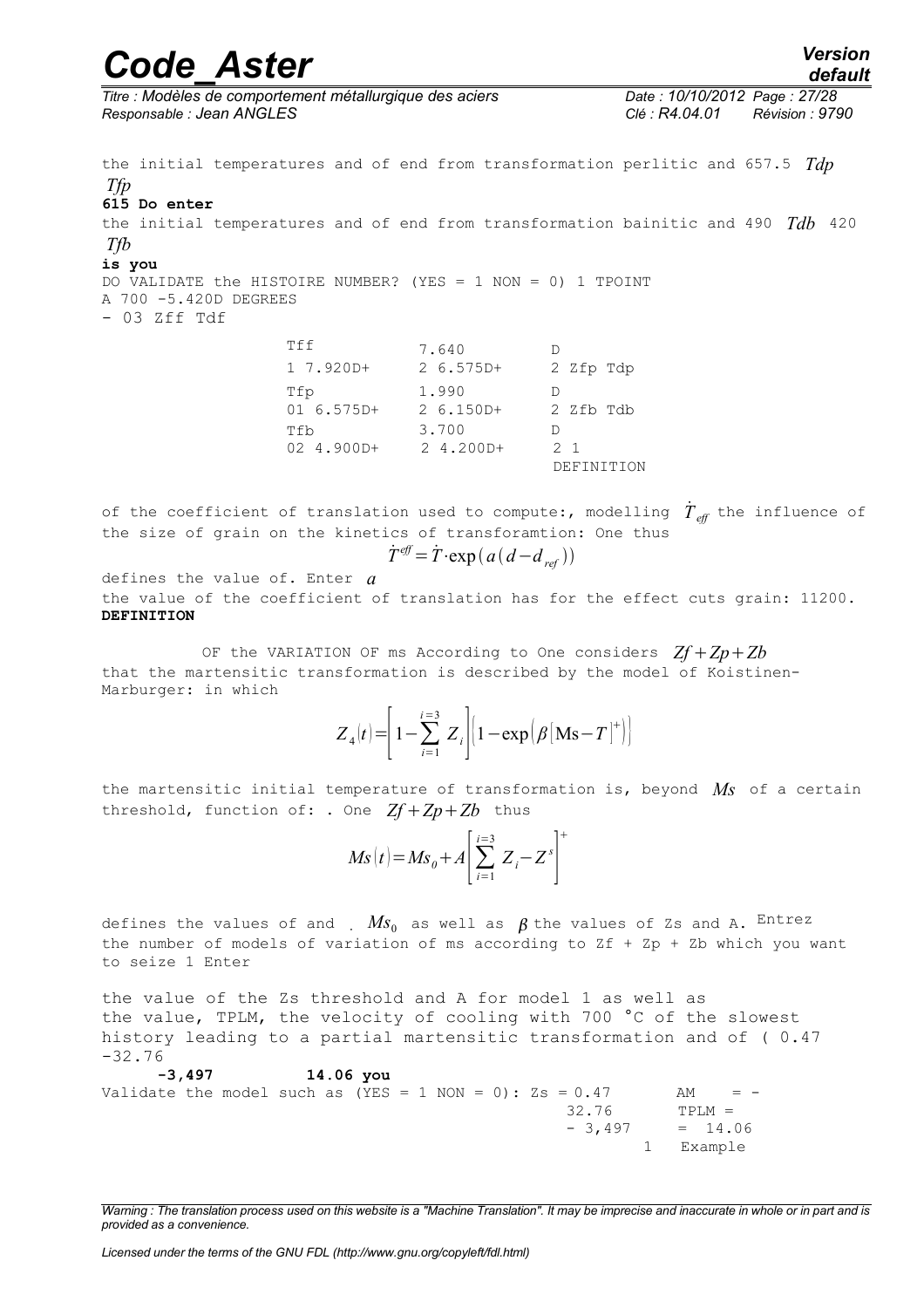### *Code\_Aster Version default*

*Titre : Modèles de comportement métallurgique des aciers Date : 10/10/2012 Page : 27/28 Responsable : Jean ANGLES Clé : R4.04.01 Révision : 9790*

the initial temperatures and of end from transformation perlitic and 657.5 *Tdp Tfp* **615 Do enter**  the initial temperatures and of end from transformation bainitic and 490 *Tdb* 420 *Tfb* **is you**  DO VALIDATE the HISTOIRE NUMBER? (YES = 1 NON = 0) 1 TPOINT A 700 -5.420D DEGREES - 03 Zff Tdf Tff 7.640 D 1 7.920D+ 2 6.575D+ 2 Zfp Tdp Tfp 1.990 D 01 6.575D+ 2 6.150D+ 2 Zfb Tdb Tfb 3.700 D 02 4.900D+ 2 4.200D+ 2 1 DEFINITION

of the coefficient of translation used to compute:, modelling  $\dot{T}_{\mathit{eff}}$  the influence of the size of grain on the kinetics of transforamtion: One thus

$$
\dot{T}^{\text{eff}} = \dot{T} \cdot \exp\left(a\left(d - d_{\text{ref}}\right)\right)
$$

defines the value of. Enter *a*

the value of the coefficient of translation has for the effect cuts grain: 11200. **DEFINITION**

OF the VARIATION OF ms According to One considers  $Zf + Zp + Zb$ that the martensitic transformation is described by the model of Koistinen-Marburger: in which

$$
Z_4(t) = \left[1 - \sum_{i=1}^{i=3} Z_i\right] \left[1 - \exp\left(\beta \left[\mathbf{Ms} - T\right]^+\right)\right]
$$

the martensitic initial temperature of transformation is, beyond *Ms* of a certain threshold, function of: . One  $Zf + Zp + Zb$  thus

$$
Ms(t) = Ms_0 + A \left[ \sum_{i=1}^{i=3} Z_i - Z^s \right]^{+}
$$

defines the values of and  $MS_0$  as well as  $\beta$  the values of Zs and A. Entrez the number of models of variation of ms according to Zf + Zp + Zb which you want to seize 1 Enter

the value of the Zs threshold and A for model 1 as well as the value, TPLM, the velocity of cooling with 700 °C of the slowest history leading to a partial martensitic transformation and of ( 0.47 -32.76

```
 -3,497 14.06 you 
Validate the model such as (YES = 1 NON = 0): ZS = 0.47 AM = -
                                          32.76 TPLM =
                                         - 3,497 = 14.06 1 Example
```
*Warning : The translation process used on this website is a "Machine Translation". It may be imprecise and inaccurate in whole or in part and is provided as a convenience.*